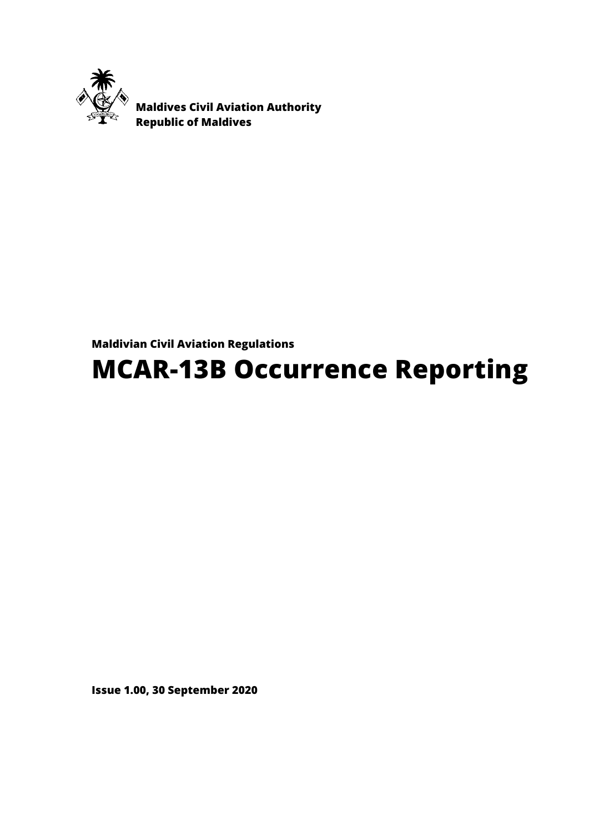

 **Maldives Civil Aviation Authority Republic of Maldives** 

## **Maldivian Civil Aviation Regulations**

# **MCAR-13B Occurrence Reporting**

**Issue 1.00, 30 September 2020**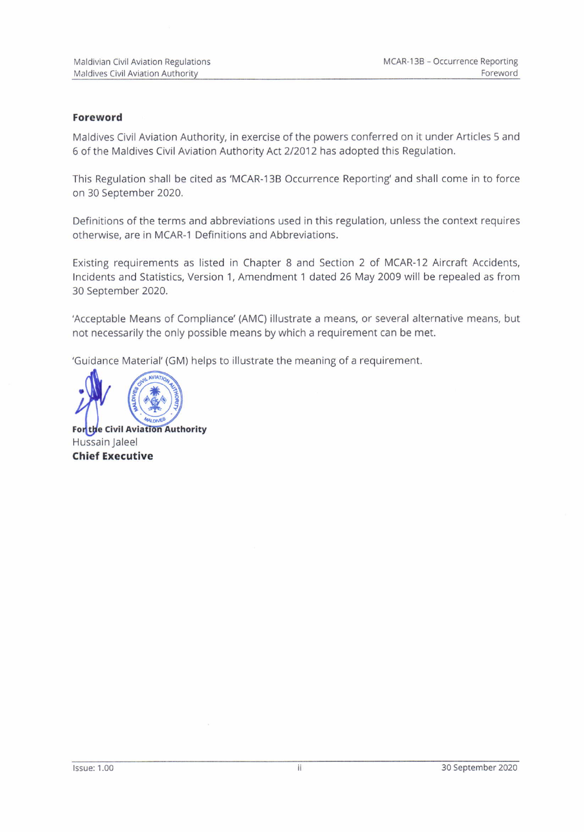#### Foreword

Maldives Civil Aviation Authority, in exercise of the powers conferred on it under Articles 5 and 6 of the Maldives Civil Aviation Authority Act 2/2012 has adopted this Regulation.

This Regulation shall be cited as'MCAR-I38 Occurrence Reporting'and shall come in to force on 30 September 2020.

Definitions of the terms and abbreviations used in this regulation, unless the context requires otherwise. are in MCAR-1 Definitions and Abbreviations.

Existing requirements as listed in Chapter 8 and Section 2 of MCAR-12 Aircraft Accidents, Incidents and Statistics, Version 1, Amendment 1 dated 26 May 2009 will be repealed as from 30 September 2020.

'Acceptable Means of compliance' (AMc) illustrate a means, or several alternative means, but not necessarily the only possible means by which a requirement can be met.

'Guidance Material' (GM) helps to illustrate the meaning of a requirement.



For the Civil Aviation Authority Hussain Jaleel **Chief Executive**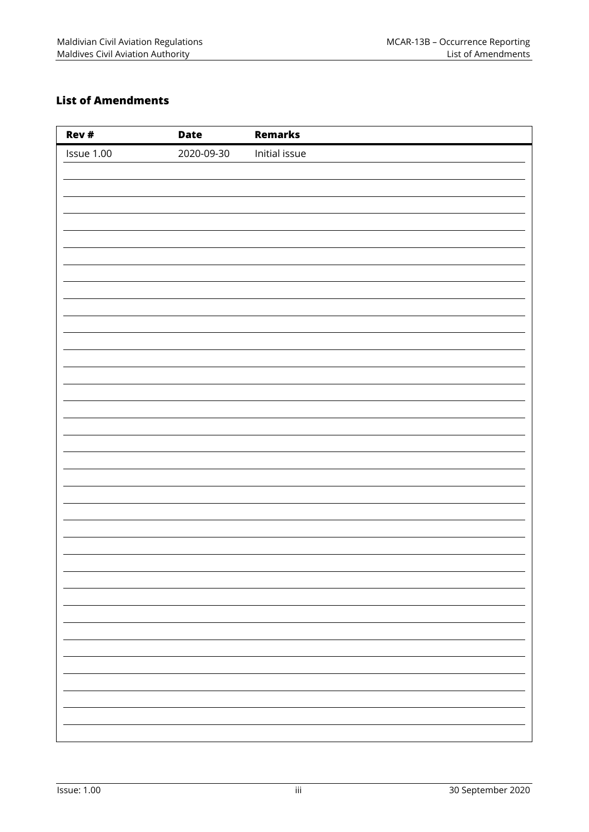## **List of Amendments**

| Rev #      | <b>Date</b> | <b>Remarks</b> |
|------------|-------------|----------------|
| Issue 1.00 | 2020-09-30  | Initial issue  |
|            |             |                |
|            |             |                |
|            |             |                |
|            |             |                |
|            |             |                |
|            |             |                |
|            |             |                |
|            |             |                |
|            |             |                |
|            |             |                |
|            |             |                |
|            |             |                |
|            |             |                |
|            |             |                |
|            |             |                |
|            |             |                |
|            |             |                |
|            |             |                |
|            |             |                |
|            |             |                |
|            |             |                |
|            |             |                |
|            |             |                |
|            |             |                |
|            |             |                |
|            |             |                |
|            |             |                |
|            |             |                |
|            |             |                |
|            |             |                |
|            |             |                |
|            |             |                |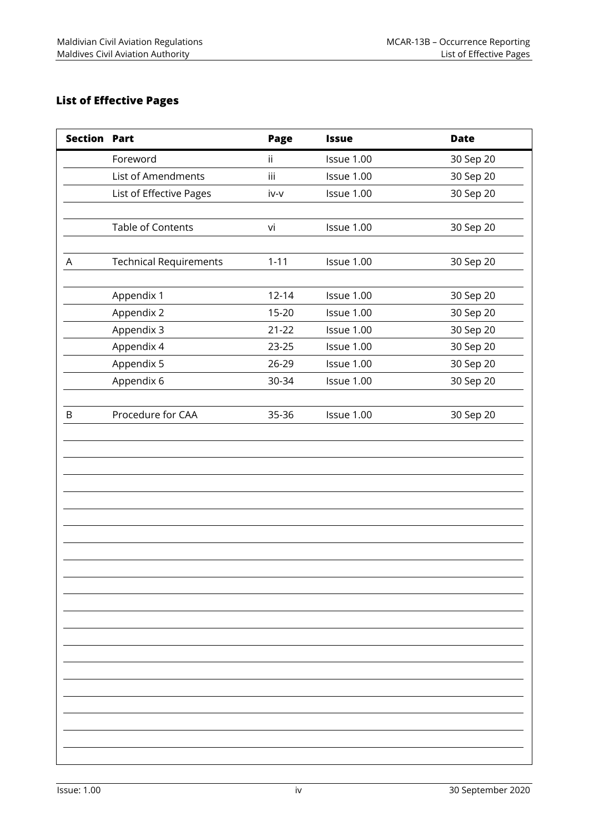## **List of Effective Pages**

| <b>Section Part</b> |                               | Page      | <b>Issue</b> | <b>Date</b> |
|---------------------|-------------------------------|-----------|--------------|-------------|
|                     | Foreword                      | ii.       | Issue 1.00   | 30 Sep 20   |
|                     | List of Amendments            | iii       | Issue 1.00   | 30 Sep 20   |
|                     | List of Effective Pages       | iv-v      | Issue 1.00   | 30 Sep 20   |
|                     |                               |           |              |             |
|                     | Table of Contents             | vi        | Issue 1.00   | 30 Sep 20   |
|                     |                               |           |              |             |
| A                   | <b>Technical Requirements</b> | $1 - 11$  | Issue 1.00   | 30 Sep 20   |
|                     |                               |           |              |             |
|                     | Appendix 1                    | $12 - 14$ | Issue 1.00   | 30 Sep 20   |
|                     | Appendix 2                    | 15-20     | Issue 1.00   | 30 Sep 20   |
|                     | Appendix 3                    | $21 - 22$ | Issue 1.00   | 30 Sep 20   |
|                     | Appendix 4                    | 23-25     | Issue 1.00   | 30 Sep 20   |
|                     | Appendix 5                    | 26-29     | Issue 1.00   | 30 Sep 20   |
|                     | Appendix 6                    | 30-34     | Issue 1.00   | 30 Sep 20   |
|                     |                               |           |              |             |
| $\sf B$             | Procedure for CAA             | 35-36     | Issue 1.00   | 30 Sep 20   |
|                     |                               |           |              |             |
|                     |                               |           |              |             |
|                     |                               |           |              |             |
|                     |                               |           |              |             |
|                     |                               |           |              |             |
|                     |                               |           |              |             |
|                     |                               |           |              |             |
|                     |                               |           |              |             |
|                     |                               |           |              |             |
|                     |                               |           |              |             |
|                     |                               |           |              |             |
|                     |                               |           |              |             |
|                     |                               |           |              |             |
|                     |                               |           |              |             |
|                     |                               |           |              |             |
|                     |                               |           |              |             |
|                     |                               |           |              |             |
|                     |                               |           |              |             |
|                     |                               |           |              |             |
|                     |                               |           |              |             |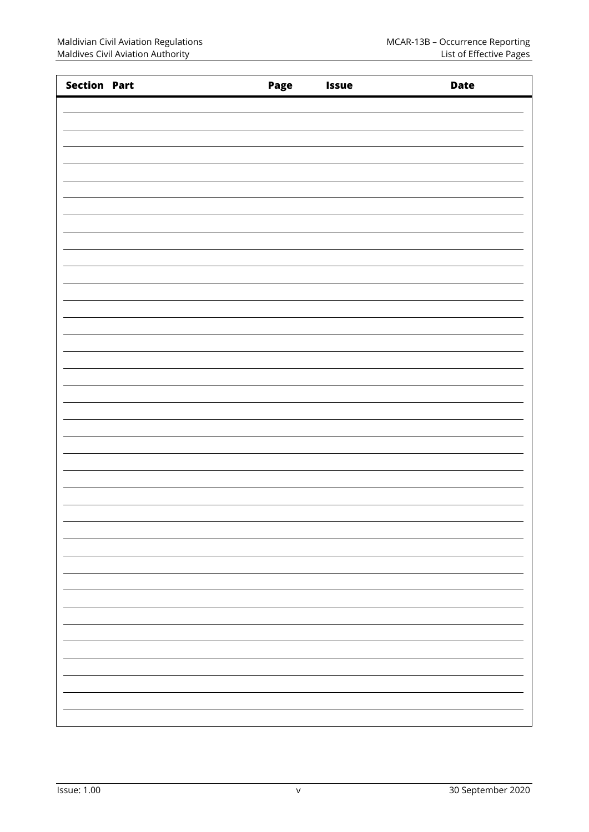| <b>Section Part</b> | Page | <b>Issue</b> | <b>Date</b> |
|---------------------|------|--------------|-------------|
|                     |      |              |             |
|                     |      |              |             |
|                     |      |              |             |
|                     |      |              |             |
|                     |      |              |             |
|                     |      |              |             |
|                     |      |              |             |
|                     |      |              |             |
|                     |      |              |             |
|                     |      |              |             |
|                     |      |              |             |
|                     |      |              |             |
|                     |      |              |             |
|                     |      |              |             |
|                     |      |              |             |
|                     |      |              |             |
|                     |      |              |             |
|                     |      |              |             |
|                     |      |              |             |
|                     |      |              |             |
|                     |      |              |             |
|                     |      |              |             |
|                     |      |              |             |
|                     |      |              |             |
|                     |      |              |             |
|                     |      |              |             |
|                     |      |              |             |
|                     |      |              |             |
|                     |      |              |             |
|                     |      |              |             |
|                     |      |              |             |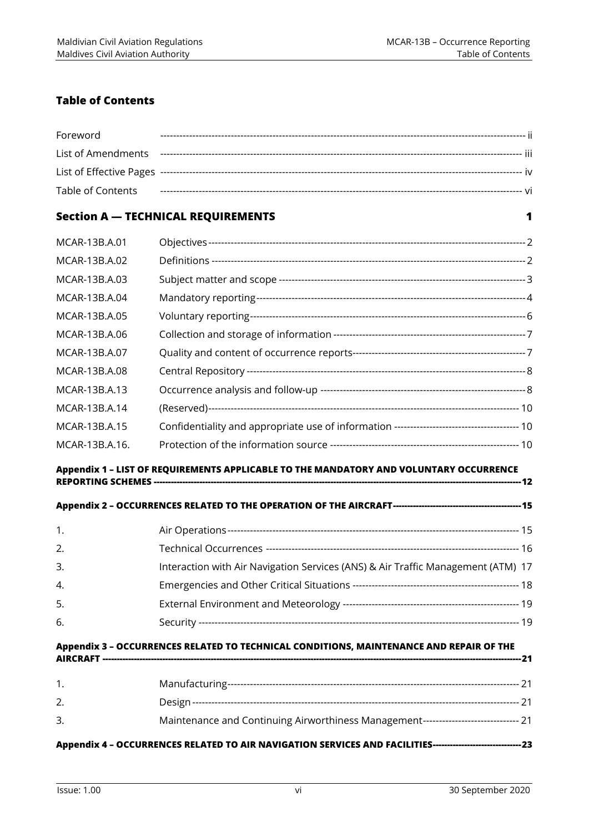## **Table of Contents**

| Foreword                 |                                           |
|--------------------------|-------------------------------------------|
| List of Amendments       |                                           |
|                          |                                           |
| <b>Table of Contents</b> |                                           |
|                          | <b>Section A - TECHNICAL REQUIREMENTS</b> |
| MCAR-13B.A.01            |                                           |
| MCAR-13B.A.02            |                                           |
| MCAR-13B.A.03            |                                           |
| MCAR-13B.A.04            |                                           |
| MCAR-13B.A.05            |                                           |
|                          |                                           |

| MCAR-13B.A.06  |  |
|----------------|--|
| MCAR-13B.A.07  |  |
| MCAR-13B.A.08  |  |
| MCAR-13B.A.13  |  |
| MCAR-13B.A.14  |  |
| MCAR-13B.A.15  |  |
| MCAR-13B.A.16. |  |

## **Appendix 1 – LIST OF REQUIREMENTS APPLICABLE TO THE MANDATORY AND VOLUNTARY OCCURRENCE**

**REPORTING SCHEMES --------------------------------------------------------------------------------------------------------------------------------- 12**

## **Appendix 2 – OCCURRENCES RELATED TO THE OPERATION OF THE AIRCRAFT --------------------------------------------- 15**

| 1. |                                                                                  |  |
|----|----------------------------------------------------------------------------------|--|
| 2. |                                                                                  |  |
| 3. | Interaction with Air Navigation Services (ANS) & Air Traffic Management (ATM) 17 |  |
| 4. |                                                                                  |  |
| 5. |                                                                                  |  |
| 6. |                                                                                  |  |

#### **Appendix 3 – OCCURRENCES RELATED TO TECHNICAL CONDITIONS, MAINTENANCE AND REPAIR OF THE AIRCRAFT --------------------------------------------------------------------------------------------------------------------------------------------------- 21**

| Maintenance and Continuing Airworthiness Management------------------------------ 21 |  |
|--------------------------------------------------------------------------------------|--|
|                                                                                      |  |

## **Appendix 4 – OCCURRENCES RELATED TO AIR NAVIGATION SERVICES AND FACILITIES ------------------------------- 23**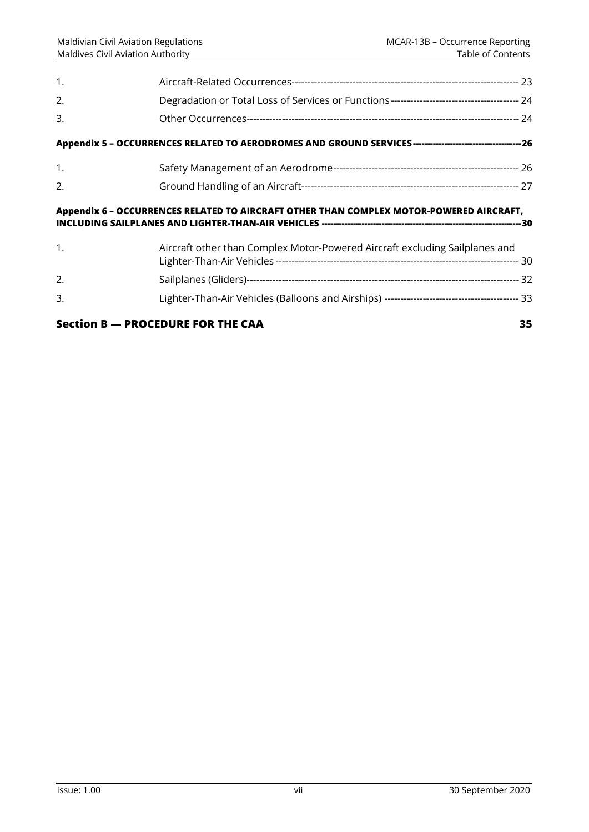| 1.             |                                                                                         |    |
|----------------|-----------------------------------------------------------------------------------------|----|
| 2.             |                                                                                         |    |
| 3.             |                                                                                         |    |
|                |                                                                                         |    |
| $\mathbf{1}$ . |                                                                                         |    |
| 2.             |                                                                                         |    |
|                | Appendix 6 - OCCURRENCES RELATED TO AIRCRAFT OTHER THAN COMPLEX MOTOR-POWERED AIRCRAFT, |    |
| 1.             | Aircraft other than Complex Motor-Powered Aircraft excluding Sailplanes and             |    |
| $\mathcal{P}$  |                                                                                         |    |
| 3.             |                                                                                         |    |
|                | <b>Section B - PROCEDURE FOR THE CAA</b>                                                | 35 |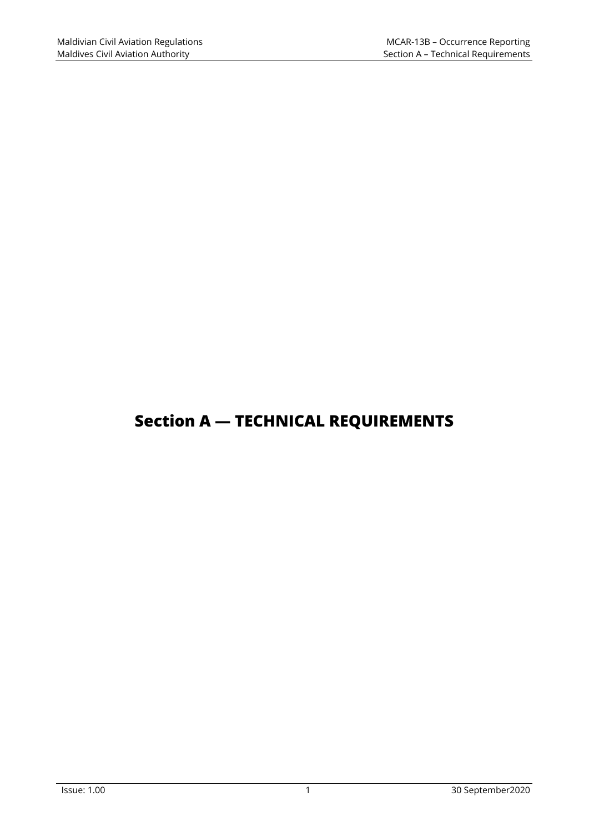## **Section A — TECHNICAL REQUIREMENTS**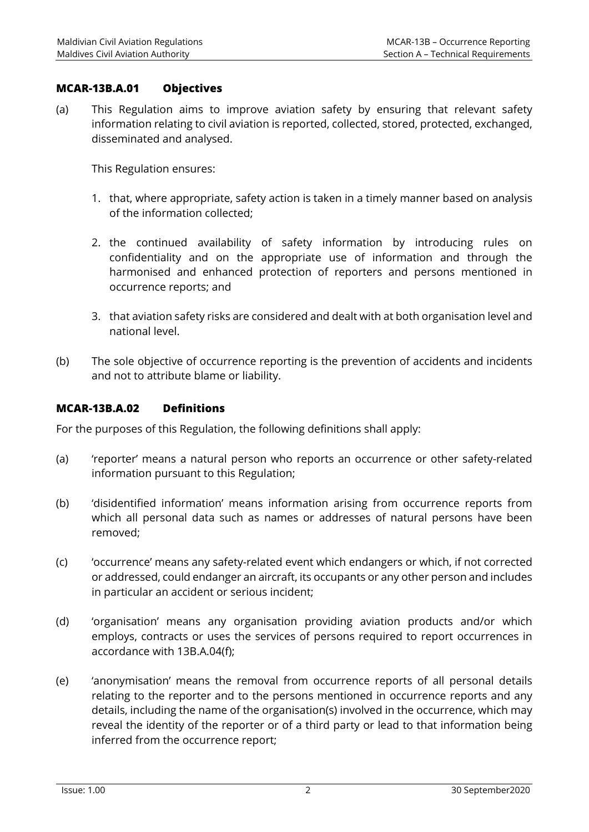## **MCAR-13B.A.01 Objectives**

(a) This Regulation aims to improve aviation safety by ensuring that relevant safety information relating to civil aviation is reported, collected, stored, protected, exchanged, disseminated and analysed.

This Regulation ensures:

- 1. that, where appropriate, safety action is taken in a timely manner based on analysis of the information collected;
- 2. the continued availability of safety information by introducing rules on confidentiality and on the appropriate use of information and through the harmonised and enhanced protection of reporters and persons mentioned in occurrence reports; and
- 3. that aviation safety risks are considered and dealt with at both organisation level and national level.
- (b) The sole objective of occurrence reporting is the prevention of accidents and incidents and not to attribute blame or liability.

## **MCAR-13B.A.02 Definitions**

For the purposes of this Regulation, the following definitions shall apply:

- (a) 'reporter' means a natural person who reports an occurrence or other safety-related information pursuant to this Regulation;
- (b) 'disidentified information' means information arising from occurrence reports from which all personal data such as names or addresses of natural persons have been removed;
- (c) 'occurrence' means any safety-related event which endangers or which, if not corrected or addressed, could endanger an aircraft, its occupants or any other person and includes in particular an accident or serious incident;
- (d) 'organisation' means any organisation providing aviation products and/or which employs, contracts or uses the services of persons required to report occurrences in accordance with 13B.A.04(f);
- (e) 'anonymisation' means the removal from occurrence reports of all personal details relating to the reporter and to the persons mentioned in occurrence reports and any details, including the name of the organisation(s) involved in the occurrence, which may reveal the identity of the reporter or of a third party or lead to that information being inferred from the occurrence report;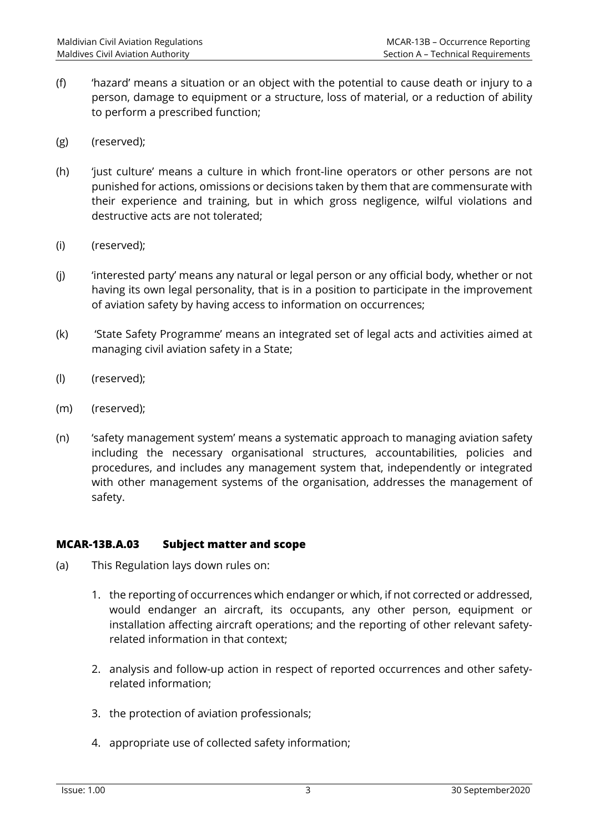- (f) 'hazard' means a situation or an object with the potential to cause death or injury to a person, damage to equipment or a structure, loss of material, or a reduction of ability to perform a prescribed function;
- (g) (reserved);
- (h) 'just culture' means a culture in which front-line operators or other persons are not punished for actions, omissions or decisions taken by them that are commensurate with their experience and training, but in which gross negligence, wilful violations and destructive acts are not tolerated;
- (i) (reserved);
- (j) 'interested party' means any natural or legal person or any official body, whether or not having its own legal personality, that is in a position to participate in the improvement of aviation safety by having access to information on occurrences;
- (k) 'State Safety Programme' means an integrated set of legal acts and activities aimed at managing civil aviation safety in a State;
- (l) (reserved);
- (m) (reserved);
- (n) 'safety management system' means a systematic approach to managing aviation safety including the necessary organisational structures, accountabilities, policies and procedures, and includes any management system that, independently or integrated with other management systems of the organisation, addresses the management of safety.

## **MCAR-13B.A.03 Subject matter and scope**

- (a) This Regulation lays down rules on:
	- 1. the reporting of occurrences which endanger or which, if not corrected or addressed, would endanger an aircraft, its occupants, any other person, equipment or installation affecting aircraft operations; and the reporting of other relevant safetyrelated information in that context;
	- 2. analysis and follow-up action in respect of reported occurrences and other safetyrelated information;
	- 3. the protection of aviation professionals;
	- 4. appropriate use of collected safety information;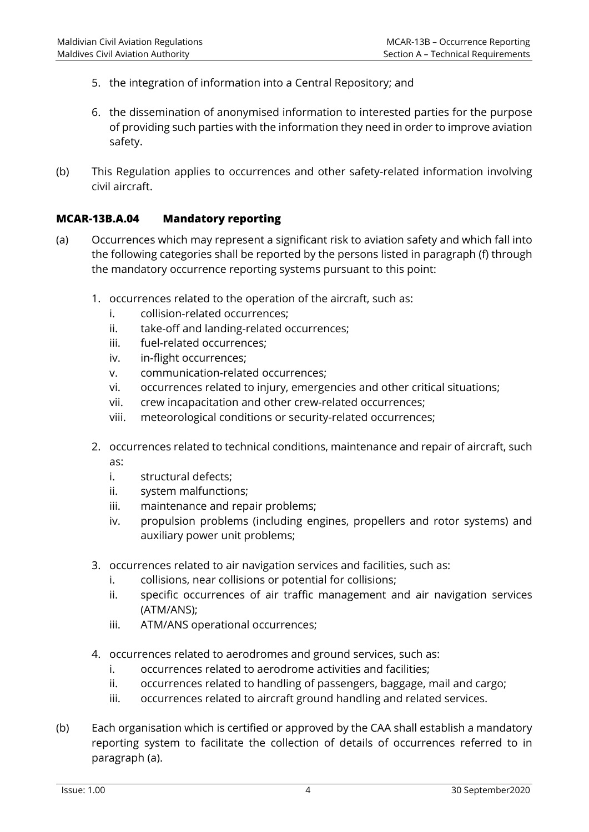- 5. the integration of information into a Central Repository; and
- 6. the dissemination of anonymised information to interested parties for the purpose of providing such parties with the information they need in order to improve aviation safety.
- (b) This Regulation applies to occurrences and other safety-related information involving civil aircraft.

## **MCAR-13B.A.04 Mandatory reporting**

- (a) Occurrences which may represent a significant risk to aviation safety and which fall into the following categories shall be reported by the persons listed in paragraph (f) through the mandatory occurrence reporting systems pursuant to this point:
	- 1. occurrences related to the operation of the aircraft, such as:
		- i. collision-related occurrences;
		- ii. take-off and landing-related occurrences;
		- iii. fuel-related occurrences;
		- iv. in-flight occurrences;
		- v. communication-related occurrences;
		- vi. occurrences related to injury, emergencies and other critical situations;
		- vii. crew incapacitation and other crew-related occurrences;
		- viii. meteorological conditions or security-related occurrences;
	- 2. occurrences related to technical conditions, maintenance and repair of aircraft, such as:
		- i. structural defects;
		- ii. system malfunctions;
		- iii. maintenance and repair problems;
		- iv. propulsion problems (including engines, propellers and rotor systems) and auxiliary power unit problems;
	- 3. occurrences related to air navigation services and facilities, such as:
		- i. collisions, near collisions or potential for collisions;
		- ii. specific occurrences of air traffic management and air navigation services (ATM/ANS);
		- iii. ATM/ANS operational occurrences;
	- 4. occurrences related to aerodromes and ground services, such as:
		- i. occurrences related to aerodrome activities and facilities;
		- ii. occurrences related to handling of passengers, baggage, mail and cargo;
		- iii. occurrences related to aircraft ground handling and related services.
- (b) Each organisation which is certified or approved by the CAA shall establish a mandatory reporting system to facilitate the collection of details of occurrences referred to in paragraph (a).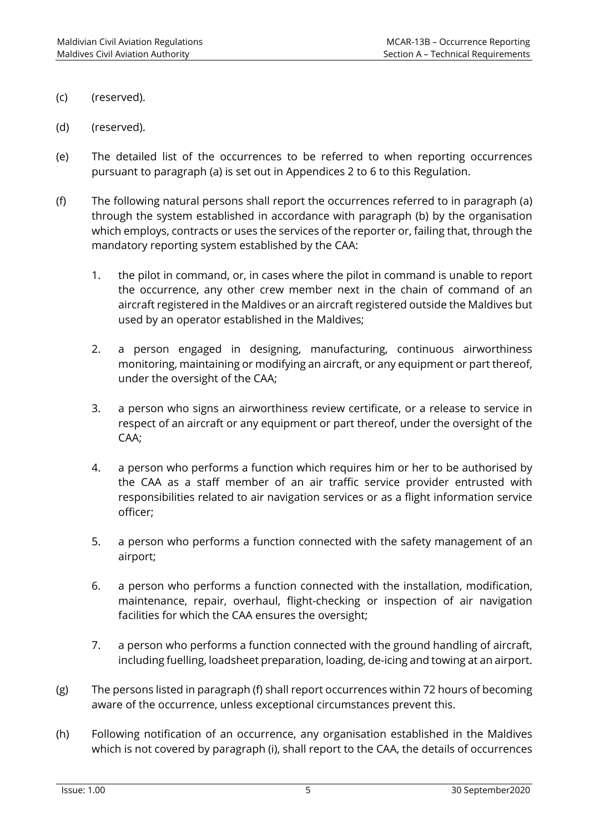- (c) (reserved).
- (d) (reserved).
- (e) The detailed list of the occurrences to be referred to when reporting occurrences pursuant to paragraph (a) is set out in Appendices 2 to 6 to this Regulation.
- (f) The following natural persons shall report the occurrences referred to in paragraph (a) through the system established in accordance with paragraph (b) by the organisation which employs, contracts or uses the services of the reporter or, failing that, through the mandatory reporting system established by the CAA:
	- 1. the pilot in command, or, in cases where the pilot in command is unable to report the occurrence, any other crew member next in the chain of command of an aircraft registered in the Maldives or an aircraft registered outside the Maldives but used by an operator established in the Maldives;
	- 2. a person engaged in designing, manufacturing, continuous airworthiness monitoring, maintaining or modifying an aircraft, or any equipment or part thereof, under the oversight of the CAA;
	- 3. a person who signs an airworthiness review certificate, or a release to service in respect of an aircraft or any equipment or part thereof, under the oversight of the CAA;
	- 4. a person who performs a function which requires him or her to be authorised by the CAA as a staff member of an air traffic service provider entrusted with responsibilities related to air navigation services or as a flight information service officer;
	- 5. a person who performs a function connected with the safety management of an airport;
	- 6. a person who performs a function connected with the installation, modification, maintenance, repair, overhaul, flight-checking or inspection of air navigation facilities for which the CAA ensures the oversight;
	- 7. a person who performs a function connected with the ground handling of aircraft, including fuelling, loadsheet preparation, loading, de-icing and towing at an airport.
- (g) The persons listed in paragraph (f) shall report occurrences within 72 hours of becoming aware of the occurrence, unless exceptional circumstances prevent this.
- (h) Following notification of an occurrence, any organisation established in the Maldives which is not covered by paragraph (i), shall report to the CAA, the details of occurrences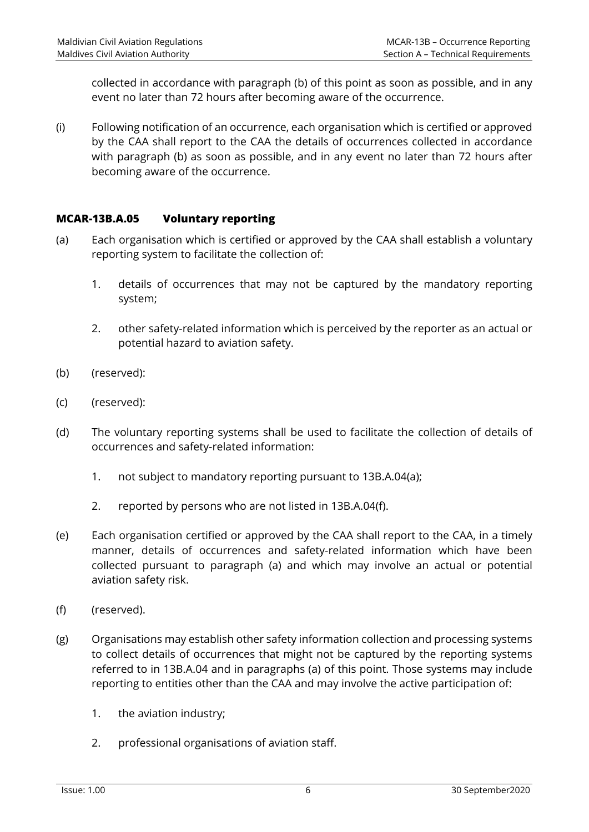collected in accordance with paragraph (b) of this point as soon as possible, and in any event no later than 72 hours after becoming aware of the occurrence.

(i) Following notification of an occurrence, each organisation which is certified or approved by the CAA shall report to the CAA the details of occurrences collected in accordance with paragraph (b) as soon as possible, and in any event no later than 72 hours after becoming aware of the occurrence.

## **MCAR-13B.A.05 Voluntary reporting**

- (a) Each organisation which is certified or approved by the CAA shall establish a voluntary reporting system to facilitate the collection of:
	- 1. details of occurrences that may not be captured by the mandatory reporting system;
	- 2. other safety-related information which is perceived by the reporter as an actual or potential hazard to aviation safety.
- (b) (reserved):
- (c) (reserved):
- (d) The voluntary reporting systems shall be used to facilitate the collection of details of occurrences and safety-related information:
	- 1. not subject to mandatory reporting pursuant to 13B.A.04(a);
	- 2. reported by persons who are not listed in 13B.A.04(f).
- (e) Each organisation certified or approved by the CAA shall report to the CAA, in a timely manner, details of occurrences and safety-related information which have been collected pursuant to paragraph (a) and which may involve an actual or potential aviation safety risk.
- (f) (reserved).
- (g) Organisations may establish other safety information collection and processing systems to collect details of occurrences that might not be captured by the reporting systems referred to in 13B.A.04 and in paragraphs (a) of this point. Those systems may include reporting to entities other than the CAA and may involve the active participation of:
	- 1. the aviation industry;
	- 2. professional organisations of aviation staff.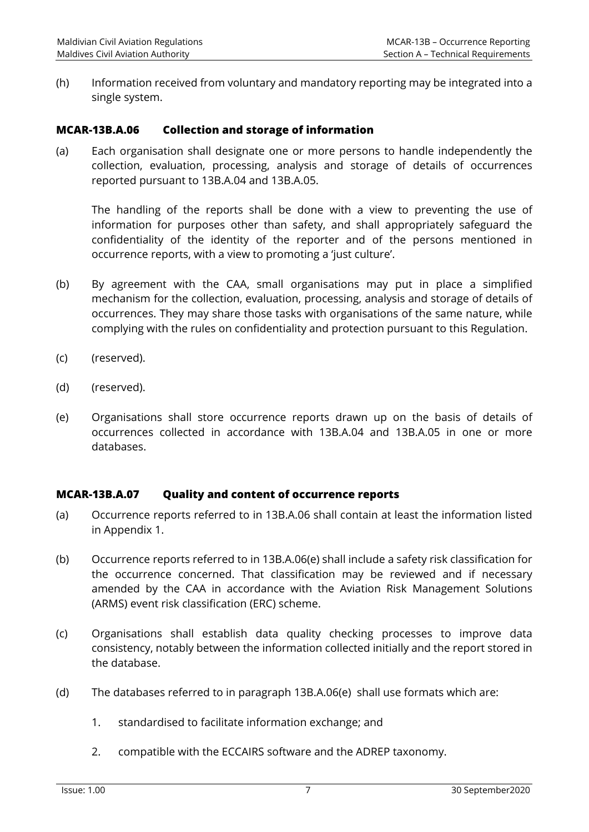(h) Information received from voluntary and mandatory reporting may be integrated into a single system.

## **MCAR-13B.A.06 Collection and storage of information**

(a) Each organisation shall designate one or more persons to handle independently the collection, evaluation, processing, analysis and storage of details of occurrences reported pursuant to 13B.A.04 and 13B.A.05.

The handling of the reports shall be done with a view to preventing the use of information for purposes other than safety, and shall appropriately safeguard the confidentiality of the identity of the reporter and of the persons mentioned in occurrence reports, with a view to promoting a 'just culture'.

- (b) By agreement with the CAA, small organisations may put in place a simplified mechanism for the collection, evaluation, processing, analysis and storage of details of occurrences. They may share those tasks with organisations of the same nature, while complying with the rules on confidentiality and protection pursuant to this Regulation.
- (c) (reserved).
- (d) (reserved).
- (e) Organisations shall store occurrence reports drawn up on the basis of details of occurrences collected in accordance with 13B.A.04 and 13B.A.05 in one or more databases.

## **MCAR-13B.A.07 Quality and content of occurrence reports**

- (a) Occurrence reports referred to in 13B.A.06 shall contain at least the information listed in Appendix 1.
- (b) Occurrence reports referred to in 13B.A.06(e) shall include a safety risk classification for the occurrence concerned. That classification may be reviewed and if necessary amended by the CAA in accordance with the Aviation Risk Management Solutions (ARMS) event risk classification (ERC) scheme.
- (c) Organisations shall establish data quality checking processes to improve data consistency, notably between the information collected initially and the report stored in the database.
- (d) The databases referred to in paragraph 13B.A.06(e) shall use formats which are:
	- 1. standardised to facilitate information exchange; and
	- 2. compatible with the ECCAIRS software and the ADREP taxonomy.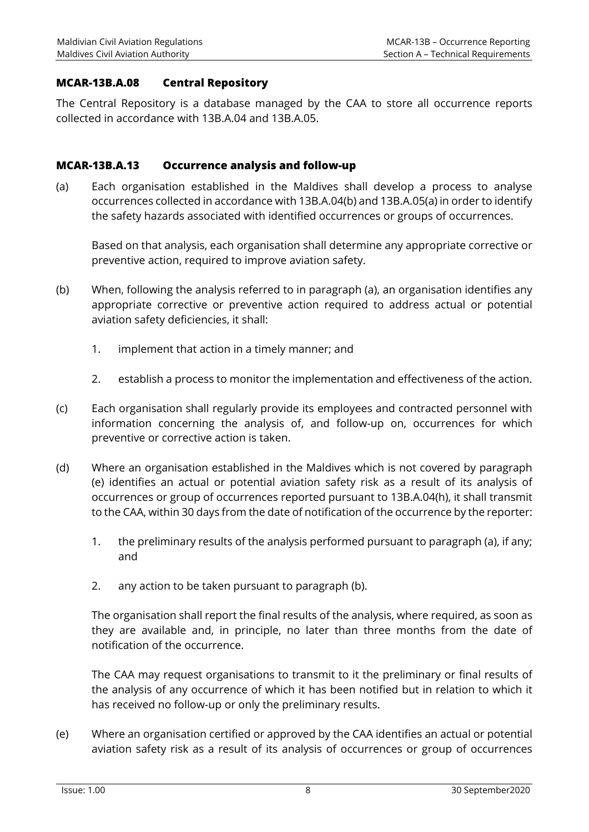## **MCAR-13B.A.08 Central Repository**

The Central Repository is a database managed by the CAA to store all occurrence reports collected in accordance with 13B.A.04 and 13B.A.05.

## **MCAR-13B.A.13 Occurrence analysis and follow-up**

(a) Each organisation established in the Maldives shall develop a process to analyse occurrences collected in accordance with 13B.A.04(b) and 13B.A.05(a) in order to identify the safety hazards associated with identified occurrences or groups of occurrences.

Based on that analysis, each organisation shall determine any appropriate corrective or preventive action, required to improve aviation safety.

- (b) When, following the analysis referred to in paragraph (a), an organisation identifies any appropriate corrective or preventive action required to address actual or potential aviation safety deficiencies, it shall:
	- 1. implement that action in a timely manner; and
	- 2. establish a process to monitor the implementation and effectiveness of the action.
- (c) Each organisation shall regularly provide its employees and contracted personnel with information concerning the analysis of, and follow-up on, occurrences for which preventive or corrective action is taken.
- (d) Where an organisation established in the Maldives which is not covered by paragraph (e) identifies an actual or potential aviation safety risk as a result of its analysis of occurrences or group of occurrences reported pursuant to 13B.A.04(h), it shall transmit to the CAA, within 30 days from the date of notification of the occurrence by the reporter:
	- 1. the preliminary results of the analysis performed pursuant to paragraph (a), if any; and
	- 2. any action to be taken pursuant to paragraph (b).

The organisation shall report the final results of the analysis, where required, as soon as they are available and, in principle, no later than three months from the date of notification of the occurrence.

The CAA may request organisations to transmit to it the preliminary or final results of the analysis of any occurrence of which it has been notified but in relation to which it has received no follow-up or only the preliminary results.

(e) Where an organisation certified or approved by the CAA identifies an actual or potential aviation safety risk as a result of its analysis of occurrences or group of occurrences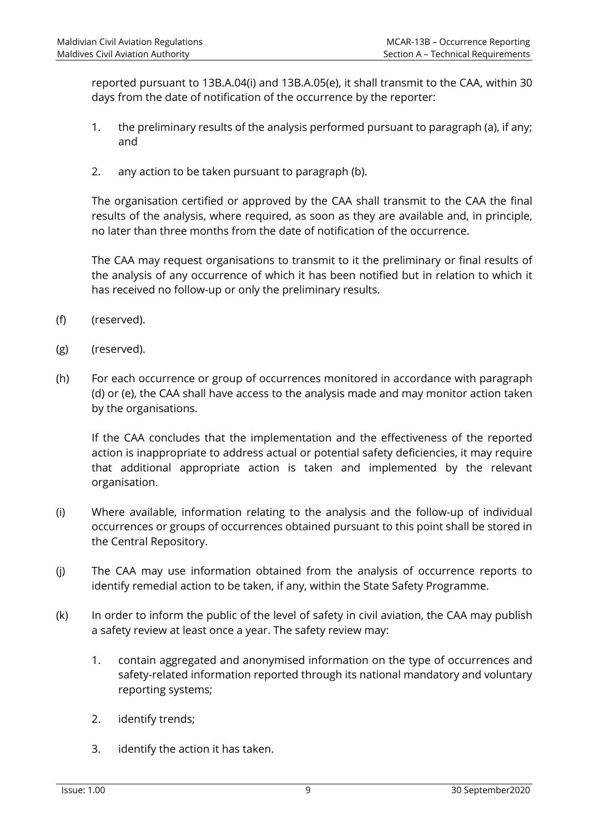reported pursuant to 13B.A.04(i) and 13B.A.05(e), it shall transmit to the CAA, within 30 days from the date of notification of the occurrence by the reporter:

- 1. the preliminary results of the analysis performed pursuant to paragraph (a), if any; and
- 2. any action to be taken pursuant to paragraph (b).

The organisation certified or approved by the CAA shall transmit to the CAA the final results of the analysis, where required, as soon as they are available and, in principle, no later than three months from the date of notification of the occurrence.

The CAA may request organisations to transmit to it the preliminary or final results of the analysis of any occurrence of which it has been notified but in relation to which it has received no follow-up or only the preliminary results.

- (f) (reserved).
- (g) (reserved).
- (h) For each occurrence or group of occurrences monitored in accordance with paragraph (d) or (e), the CAA shall have access to the analysis made and may monitor action taken by the organisations.

If the CAA concludes that the implementation and the effectiveness of the reported action is inappropriate to address actual or potential safety deficiencies, it may require that additional appropriate action is taken and implemented by the relevant organisation.

- (i) Where available, information relating to the analysis and the follow-up of individual occurrences or groups of occurrences obtained pursuant to this point shall be stored in the Central Repository.
- (j) The CAA may use information obtained from the analysis of occurrence reports to identify remedial action to be taken, if any, within the State Safety Programme.
- (k) In order to inform the public of the level of safety in civil aviation, the CAA may publish a safety review at least once a year. The safety review may:
	- 1. contain aggregated and anonymised information on the type of occurrences and safety-related information reported through its national mandatory and voluntary reporting systems;
	- 2. identify trends;
	- 3. identify the action it has taken.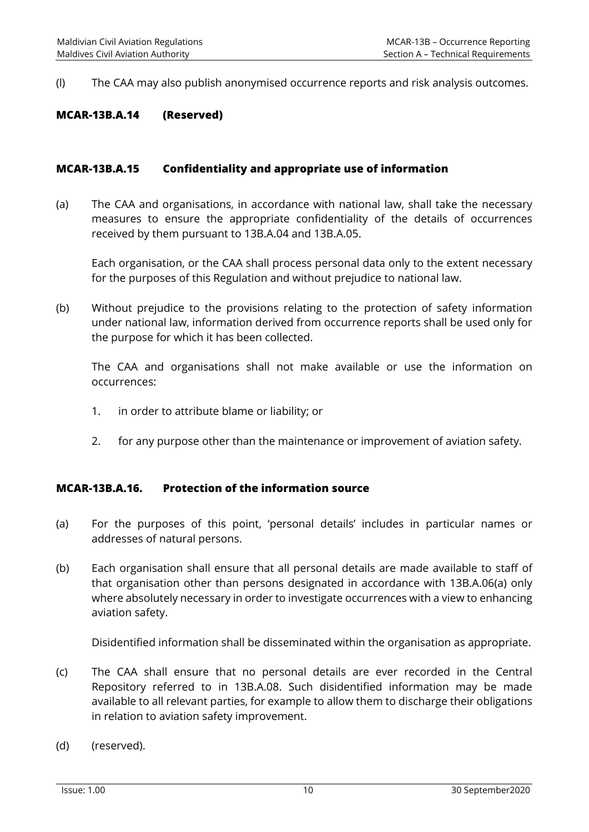(l) The CAA may also publish anonymised occurrence reports and risk analysis outcomes.

#### **MCAR-13B.A.14 (Reserved)**

#### **MCAR-13B.A.15 Confidentiality and appropriate use of information**

(a) The CAA and organisations, in accordance with national law, shall take the necessary measures to ensure the appropriate confidentiality of the details of occurrences received by them pursuant to 13B.A.04 and 13B.A.05.

Each organisation, or the CAA shall process personal data only to the extent necessary for the purposes of this Regulation and without prejudice to national law.

(b) Without prejudice to the provisions relating to the protection of safety information under national law, information derived from occurrence reports shall be used only for the purpose for which it has been collected.

The CAA and organisations shall not make available or use the information on occurrences:

- 1. in order to attribute blame or liability; or
- 2. for any purpose other than the maintenance or improvement of aviation safety.

#### **MCAR-13B.A.16. Protection of the information source**

- (a) For the purposes of this point, 'personal details' includes in particular names or addresses of natural persons.
- (b) Each organisation shall ensure that all personal details are made available to staff of that organisation other than persons designated in accordance with 13B.A.06(a) only where absolutely necessary in order to investigate occurrences with a view to enhancing aviation safety.

Disidentified information shall be disseminated within the organisation as appropriate.

- (c) The CAA shall ensure that no personal details are ever recorded in the Central Repository referred to in 13B.A.08. Such disidentified information may be made available to all relevant parties, for example to allow them to discharge their obligations in relation to aviation safety improvement.
- (d) (reserved).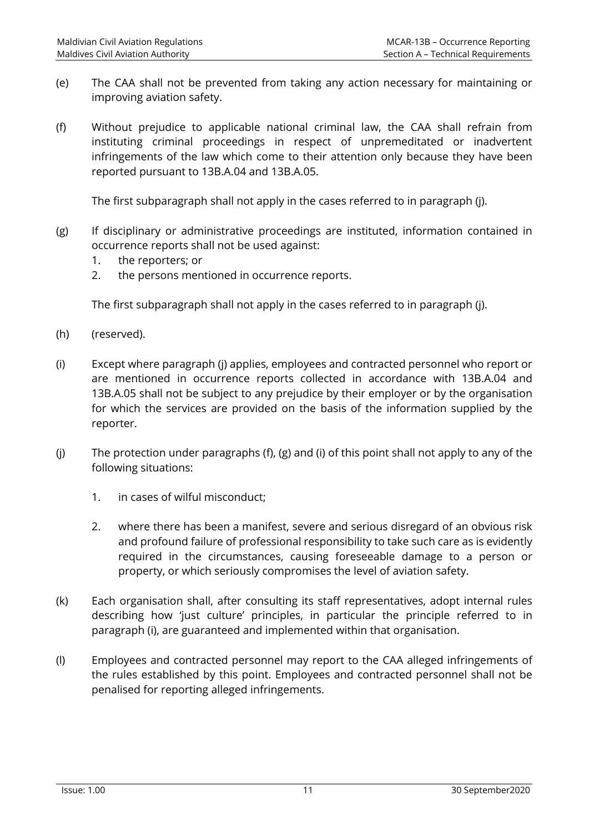- (e) The CAA shall not be prevented from taking any action necessary for maintaining or improving aviation safety.
- (f) Without prejudice to applicable national criminal law, the CAA shall refrain from instituting criminal proceedings in respect of unpremeditated or inadvertent infringements of the law which come to their attention only because they have been reported pursuant to 13B.A.04 and 13B.A.05.

The first subparagraph shall not apply in the cases referred to in paragraph (j).

- (g) If disciplinary or administrative proceedings are instituted, information contained in occurrence reports shall not be used against:
	- 1. the reporters; or
	- 2. the persons mentioned in occurrence reports.

The first subparagraph shall not apply in the cases referred to in paragraph (j).

- (h) (reserved).
- (i) Except where paragraph (j) applies, employees and contracted personnel who report or are mentioned in occurrence reports collected in accordance with 13B.A.04 and 13B.A.05 shall not be subject to any prejudice by their employer or by the organisation for which the services are provided on the basis of the information supplied by the reporter.
- (j) The protection under paragraphs (f), (g) and (i) of this point shall not apply to any of the following situations:
	- 1. in cases of wilful misconduct;
	- 2. where there has been a manifest, severe and serious disregard of an obvious risk and profound failure of professional responsibility to take such care as is evidently required in the circumstances, causing foreseeable damage to a person or property, or which seriously compromises the level of aviation safety.
- (k) Each organisation shall, after consulting its staff representatives, adopt internal rules describing how 'just culture' principles, in particular the principle referred to in paragraph (i), are guaranteed and implemented within that organisation.
- (l) Employees and contracted personnel may report to the CAA alleged infringements of the rules established by this point. Employees and contracted personnel shall not be penalised for reporting alleged infringements.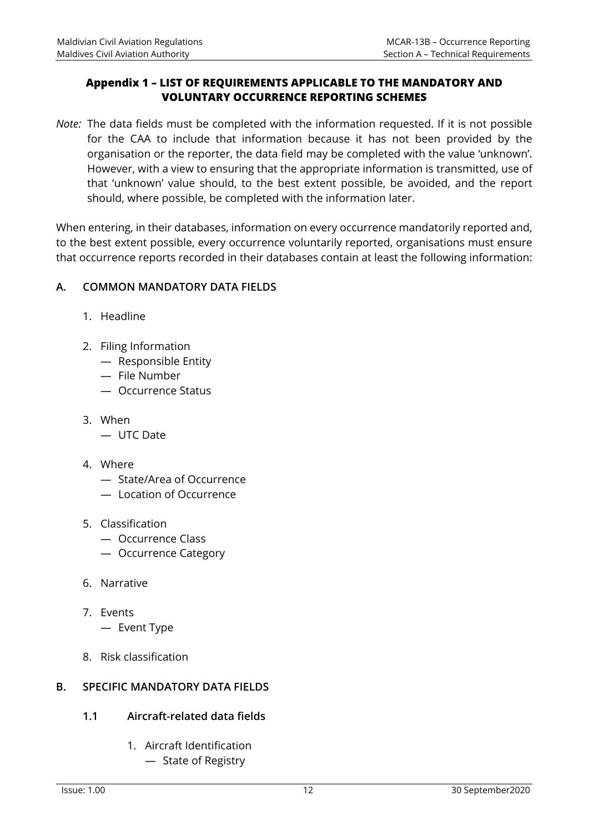## **Appendix 1 – LIST OF REQUIREMENTS APPLICABLE TO THE MANDATORY AND VOLUNTARY OCCURRENCE REPORTING SCHEMES**

*Note:* The data fields must be completed with the information requested. If it is not possible for the CAA to include that information because it has not been provided by the organisation or the reporter, the data field may be completed with the value 'unknown'. However, with a view to ensuring that the appropriate information is transmitted, use of that 'unknown' value should, to the best extent possible, be avoided, and the report should, where possible, be completed with the information later.

When entering, in their databases, information on every occurrence mandatorily reported and, to the best extent possible, every occurrence voluntarily reported, organisations must ensure that occurrence reports recorded in their databases contain at least the following information:

## **A. COMMON MANDATORY DATA FIELDS**

- 1. Headline
- 2. Filing Information
	- Responsible Entity
	- File Number
	- Occurrence Status
- 3. When
	- UTC Date
- 4. Where
	- State/Area of Occurrence
	- Location of Occurrence
- 5. Classification
	- Occurrence Class
	- Occurrence Category
- 6. Narrative
- 7. Events
	- Event Type
- 8. Risk classification

## **B. SPECIFIC MANDATORY DATA FIELDS**

## **1.1 Aircraft-related data fields**

- 1. Aircraft Identification
	- State of Registry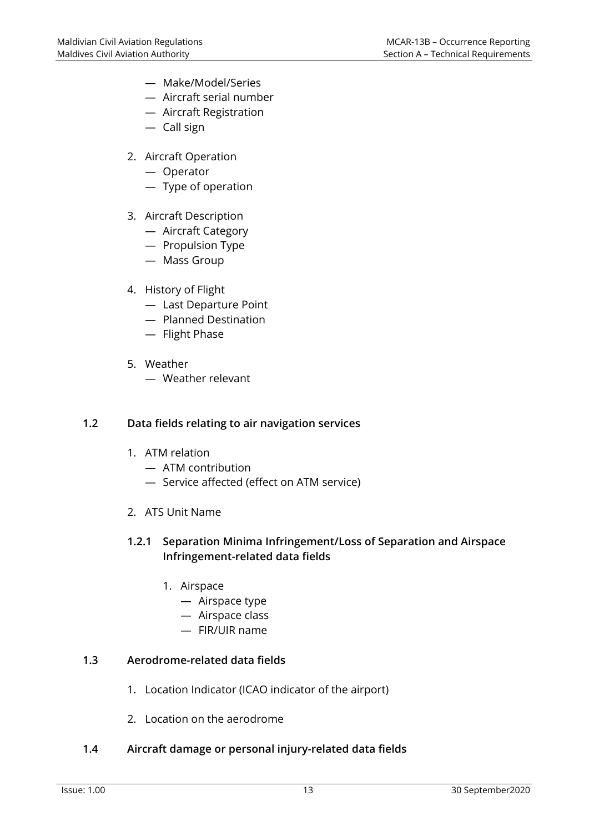- Make/Model/Series
- Aircraft serial number
- Aircraft Registration
- Call sign
- 2. Aircraft Operation
	- Operator
	- Type of operation
- 3. Aircraft Description
	- Aircraft Category
	- Propulsion Type
	- Mass Group
- 4. History of Flight
	- Last Departure Point
	- Planned Destination
	- Flight Phase
- 5. Weather
	- Weather relevant

## **1.2 Data fields relating to air navigation services**

- 1. ATM relation
	- ATM contribution
	- Service affected (effect on ATM service)
- 2. ATS Unit Name

## **1.2.1 Separation Minima Infringement/Loss of Separation and Airspace Infringement-related data fields**

- 1. Airspace
	- Airspace type
	- Airspace class
	- FIR/UIR name

## **1.3 Aerodrome-related data fields**

- 1. Location Indicator (ICAO indicator of the airport)
- 2. Location on the aerodrome

## **1.4 Aircraft damage or personal injury-related data fields**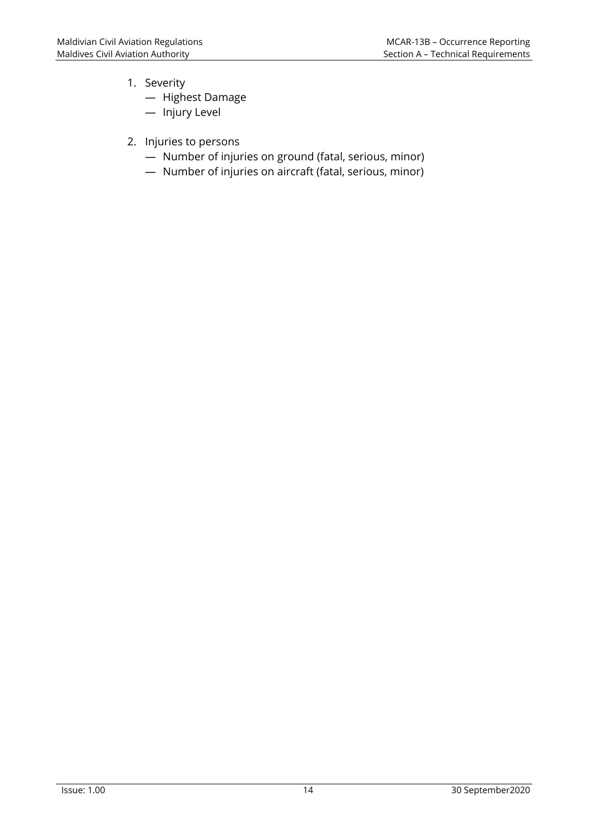- 1. Severity
	- Highest Damage
	- Injury Level
- 2. Injuries to persons
	- Number of injuries on ground (fatal, serious, minor)
	- Number of injuries on aircraft (fatal, serious, minor)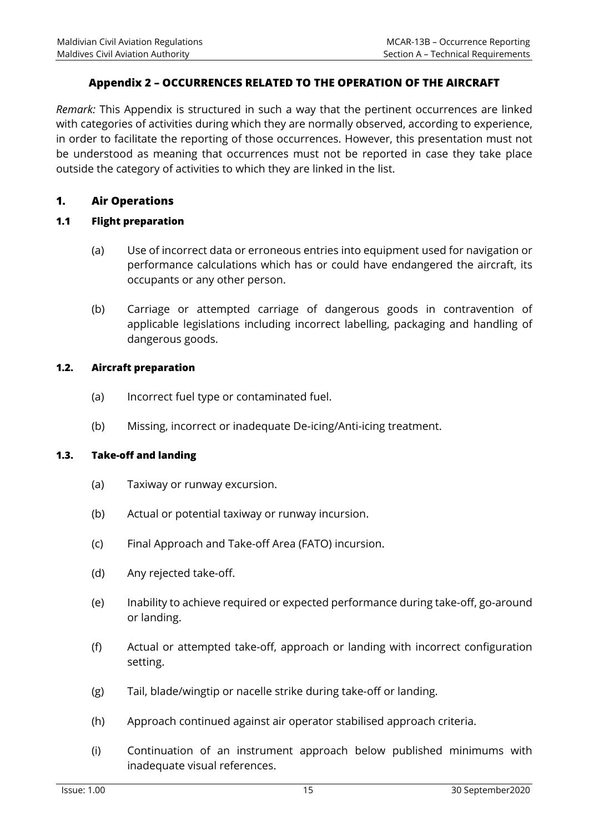## **Appendix 2 – OCCURRENCES RELATED TO THE OPERATION OF THE AIRCRAFT**

*Remark:* This Appendix is structured in such a way that the pertinent occurrences are linked with categories of activities during which they are normally observed, according to experience, in order to facilitate the reporting of those occurrences. However, this presentation must not be understood as meaning that occurrences must not be reported in case they take place outside the category of activities to which they are linked in the list.

## **1. Air Operations**

## **1.1 Flight preparation**

- (a) Use of incorrect data or erroneous entries into equipment used for navigation or performance calculations which has or could have endangered the aircraft, its occupants or any other person.
- (b) Carriage or attempted carriage of dangerous goods in contravention of applicable legislations including incorrect labelling, packaging and handling of dangerous goods.

#### **1.2. Aircraft preparation**

- (a) Incorrect fuel type or contaminated fuel.
- (b) Missing, incorrect or inadequate De-icing/Anti-icing treatment.

#### **1.3. Take-off and landing**

- (a) Taxiway or runway excursion.
- (b) Actual or potential taxiway or runway incursion.
- (c) Final Approach and Take-off Area (FATO) incursion.
- (d) Any rejected take-off.
- (e) Inability to achieve required or expected performance during take-off, go-around or landing.
- (f) Actual or attempted take-off, approach or landing with incorrect configuration setting.
- (g) Tail, blade/wingtip or nacelle strike during take-off or landing.
- (h) Approach continued against air operator stabilised approach criteria.
- (i) Continuation of an instrument approach below published minimums with inadequate visual references.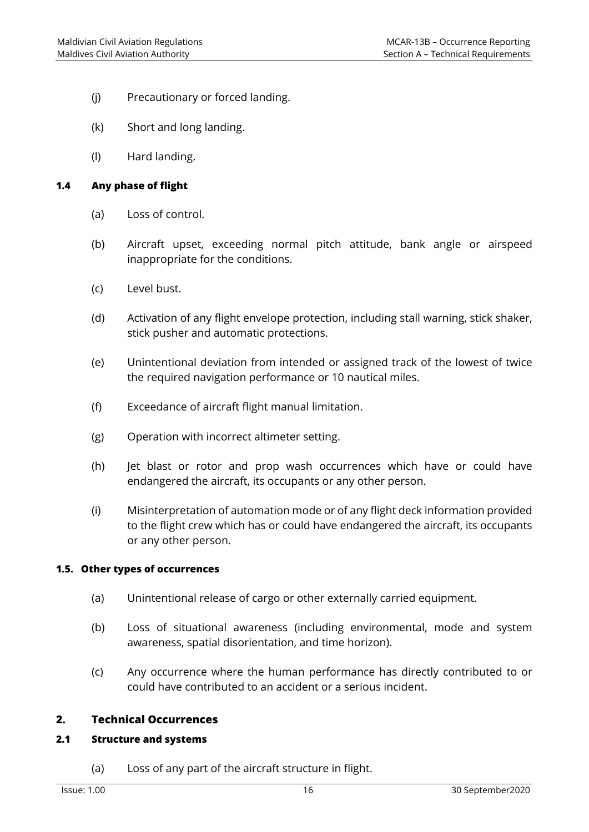- (j) Precautionary or forced landing.
- (k) Short and long landing.
- (l) Hard landing.

#### **1.4 Any phase of flight**

- (a) Loss of control.
- (b) Aircraft upset, exceeding normal pitch attitude, bank angle or airspeed inappropriate for the conditions.
- (c) Level bust.
- (d) Activation of any flight envelope protection, including stall warning, stick shaker, stick pusher and automatic protections.
- (e) Unintentional deviation from intended or assigned track of the lowest of twice the required navigation performance or 10 nautical miles.
- (f) Exceedance of aircraft flight manual limitation.
- (g) Operation with incorrect altimeter setting.
- (h) Jet blast or rotor and prop wash occurrences which have or could have endangered the aircraft, its occupants or any other person.
- (i) Misinterpretation of automation mode or of any flight deck information provided to the flight crew which has or could have endangered the aircraft, its occupants or any other person.

#### **1.5. Other types of occurrences**

- (a) Unintentional release of cargo or other externally carried equipment.
- (b) Loss of situational awareness (including environmental, mode and system awareness, spatial disorientation, and time horizon).
- (c) Any occurrence where the human performance has directly contributed to or could have contributed to an accident or a serious incident.

## **2. Technical Occurrences**

#### **2.1 Structure and systems**

(a) Loss of any part of the aircraft structure in flight.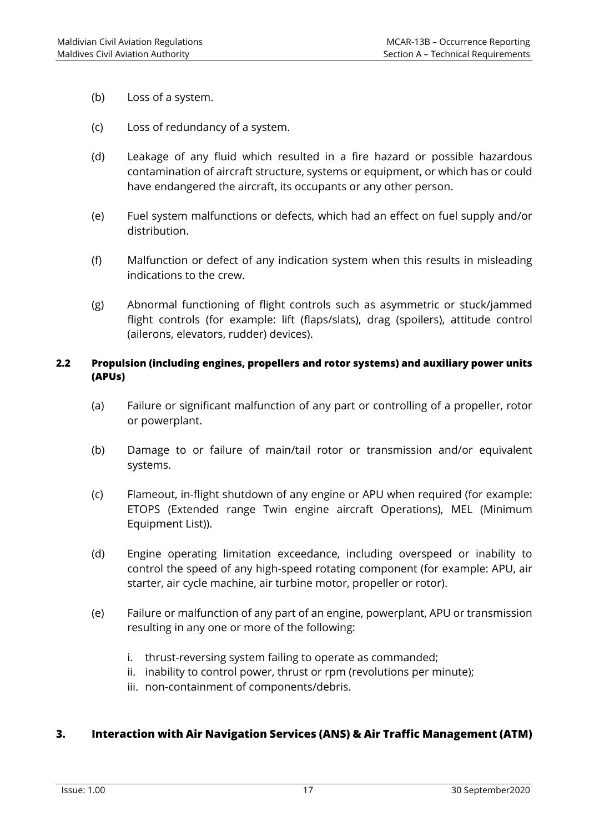- (b) Loss of a system.
- (c) Loss of redundancy of a system.
- (d) Leakage of any fluid which resulted in a fire hazard or possible hazardous contamination of aircraft structure, systems or equipment, or which has or could have endangered the aircraft, its occupants or any other person.
- (e) Fuel system malfunctions or defects, which had an effect on fuel supply and/or distribution.
- (f) Malfunction or defect of any indication system when this results in misleading indications to the crew.
- (g) Abnormal functioning of flight controls such as asymmetric or stuck/jammed flight controls (for example: lift (flaps/slats), drag (spoilers), attitude control (ailerons, elevators, rudder) devices).

#### **2.2 Propulsion (including engines, propellers and rotor systems) and auxiliary power units (APUs)**

- (a) Failure or significant malfunction of any part or controlling of a propeller, rotor or powerplant.
- (b) Damage to or failure of main/tail rotor or transmission and/or equivalent systems.
- (c) Flameout, in-flight shutdown of any engine or APU when required (for example: ETOPS (Extended range Twin engine aircraft Operations), MEL (Minimum Equipment List)).
- (d) Engine operating limitation exceedance, including overspeed or inability to control the speed of any high-speed rotating component (for example: APU, air starter, air cycle machine, air turbine motor, propeller or rotor).
- (e) Failure or malfunction of any part of an engine, powerplant, APU or transmission resulting in any one or more of the following:
	- i. thrust-reversing system failing to operate as commanded;
	- ii. inability to control power, thrust or rpm (revolutions per minute);
	- iii. non-containment of components/debris.

## **3. Interaction with Air Navigation Services (ANS) & Air Traffic Management (ATM)**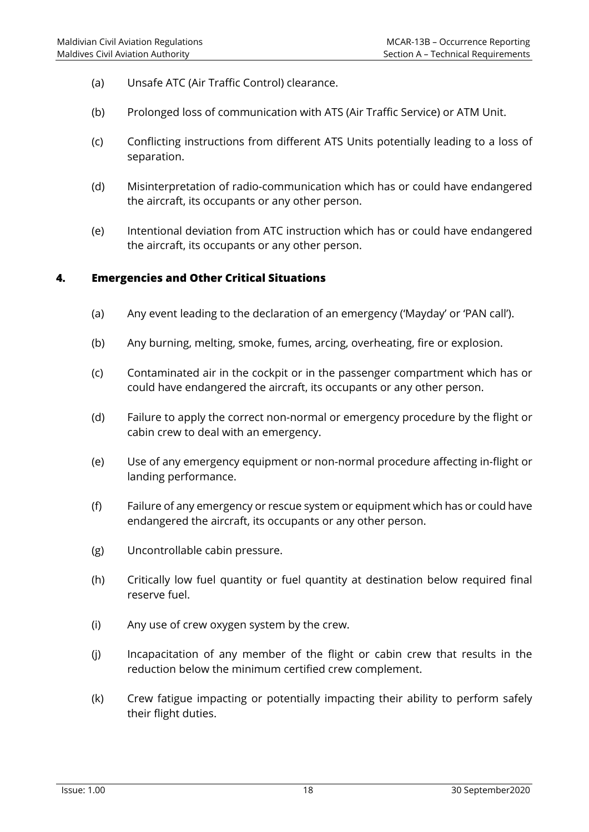- (a) Unsafe ATC (Air Traffic Control) clearance.
- (b) Prolonged loss of communication with ATS (Air Traffic Service) or ATM Unit.
- (c) Conflicting instructions from different ATS Units potentially leading to a loss of separation.
- (d) Misinterpretation of radio-communication which has or could have endangered the aircraft, its occupants or any other person.
- (e) Intentional deviation from ATC instruction which has or could have endangered the aircraft, its occupants or any other person.

#### **4. Emergencies and Other Critical Situations**

- (a) Any event leading to the declaration of an emergency ('Mayday' or 'PAN call').
- (b) Any burning, melting, smoke, fumes, arcing, overheating, fire or explosion.
- (c) Contaminated air in the cockpit or in the passenger compartment which has or could have endangered the aircraft, its occupants or any other person.
- (d) Failure to apply the correct non-normal or emergency procedure by the flight or cabin crew to deal with an emergency.
- (e) Use of any emergency equipment or non-normal procedure affecting in-flight or landing performance.
- (f) Failure of any emergency or rescue system or equipment which has or could have endangered the aircraft, its occupants or any other person.
- (g) Uncontrollable cabin pressure.
- (h) Critically low fuel quantity or fuel quantity at destination below required final reserve fuel.
- (i) Any use of crew oxygen system by the crew.
- (j) Incapacitation of any member of the flight or cabin crew that results in the reduction below the minimum certified crew complement.
- (k) Crew fatigue impacting or potentially impacting their ability to perform safely their flight duties.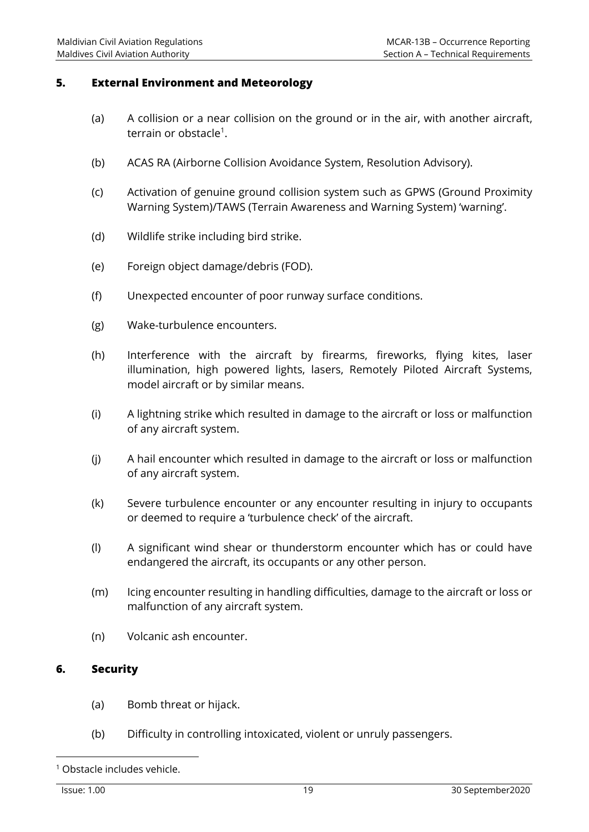## **5. External Environment and Meteorology**

- (a) A collision or a near collision on the ground or in the air, with another aircraft, terrain or obstacle<sup>1</sup>.
- (b) ACAS RA (Airborne Collision Avoidance System, Resolution Advisory).
- (c) Activation of genuine ground collision system such as GPWS (Ground Proximity Warning System)/TAWS (Terrain Awareness and Warning System) 'warning'.
- (d) Wildlife strike including bird strike.
- (e) Foreign object damage/debris (FOD).
- (f) Unexpected encounter of poor runway surface conditions.
- (g) Wake-turbulence encounters.
- (h) Interference with the aircraft by firearms, fireworks, flying kites, laser illumination, high powered lights, lasers, Remotely Piloted Aircraft Systems, model aircraft or by similar means.
- (i) A lightning strike which resulted in damage to the aircraft or loss or malfunction of any aircraft system.
- (j) A hail encounter which resulted in damage to the aircraft or loss or malfunction of any aircraft system.
- (k) Severe turbulence encounter or any encounter resulting in injury to occupants or deemed to require a 'turbulence check' of the aircraft.
- (l) A significant wind shear or thunderstorm encounter which has or could have endangered the aircraft, its occupants or any other person.
- (m) Icing encounter resulting in handling difficulties, damage to the aircraft or loss or malfunction of any aircraft system.
- (n) Volcanic ash encounter.

## **6. Security**

- (a) Bomb threat or hijack.
- (b) Difficulty in controlling intoxicated, violent or unruly passengers.

<sup>1</sup> Obstacle includes vehicle.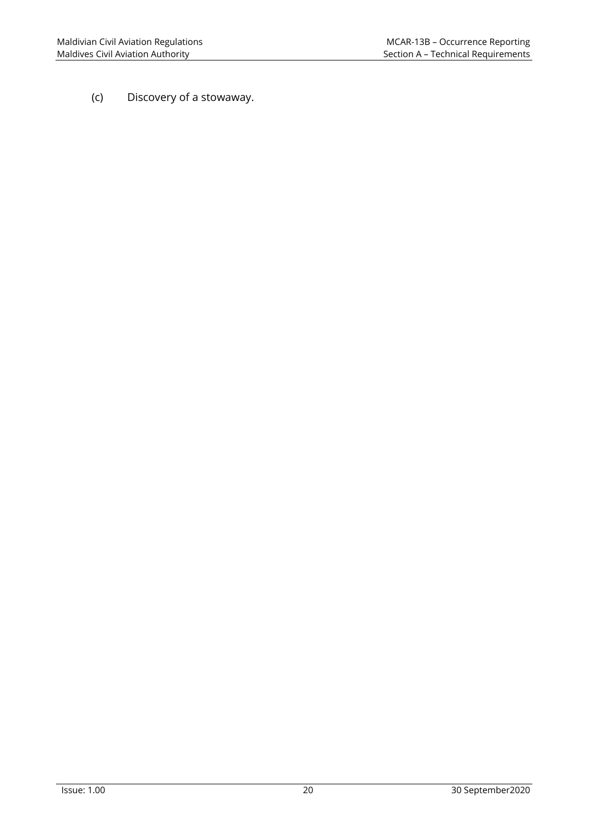(c) Discovery of a stowaway.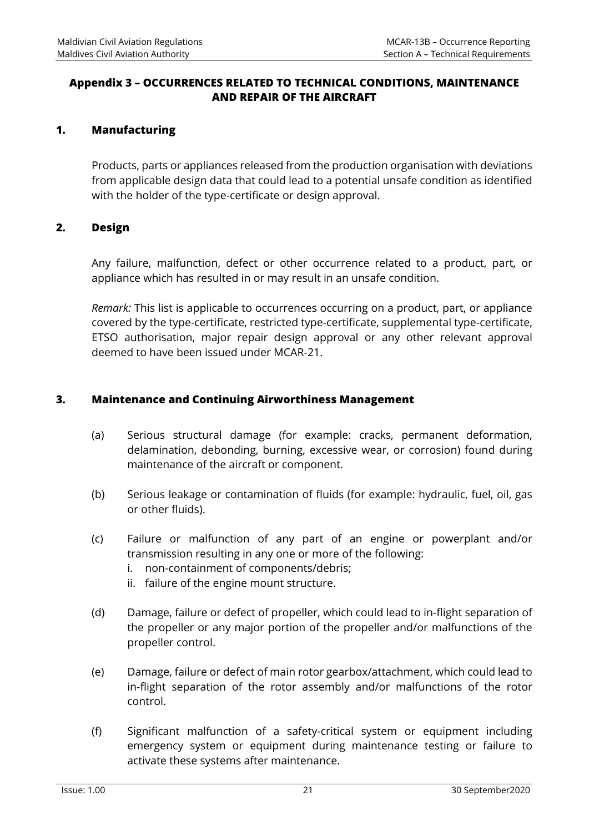## **Appendix 3 – OCCURRENCES RELATED TO TECHNICAL CONDITIONS, MAINTENANCE AND REPAIR OF THE AIRCRAFT**

## **1. Manufacturing**

Products, parts or appliances released from the production organisation with deviations from applicable design data that could lead to a potential unsafe condition as identified with the holder of the type-certificate or design approval.

## **2. Design**

Any failure, malfunction, defect or other occurrence related to a product, part, or appliance which has resulted in or may result in an unsafe condition.

*Remark:* This list is applicable to occurrences occurring on a product, part, or appliance covered by the type-certificate, restricted type-certificate, supplemental type-certificate, ETSO authorisation, major repair design approval or any other relevant approval deemed to have been issued under MCAR-21.

## **3. Maintenance and Continuing Airworthiness Management**

- (a) Serious structural damage (for example: cracks, permanent deformation, delamination, debonding, burning, excessive wear, or corrosion) found during maintenance of the aircraft or component.
- (b) Serious leakage or contamination of fluids (for example: hydraulic, fuel, oil, gas or other fluids).
- (c) Failure or malfunction of any part of an engine or powerplant and/or transmission resulting in any one or more of the following:
	- i. non-containment of components/debris;
	- ii. failure of the engine mount structure.
- (d) Damage, failure or defect of propeller, which could lead to in-flight separation of the propeller or any major portion of the propeller and/or malfunctions of the propeller control.
- (e) Damage, failure or defect of main rotor gearbox/attachment, which could lead to in-flight separation of the rotor assembly and/or malfunctions of the rotor control.
- (f) Significant malfunction of a safety-critical system or equipment including emergency system or equipment during maintenance testing or failure to activate these systems after maintenance.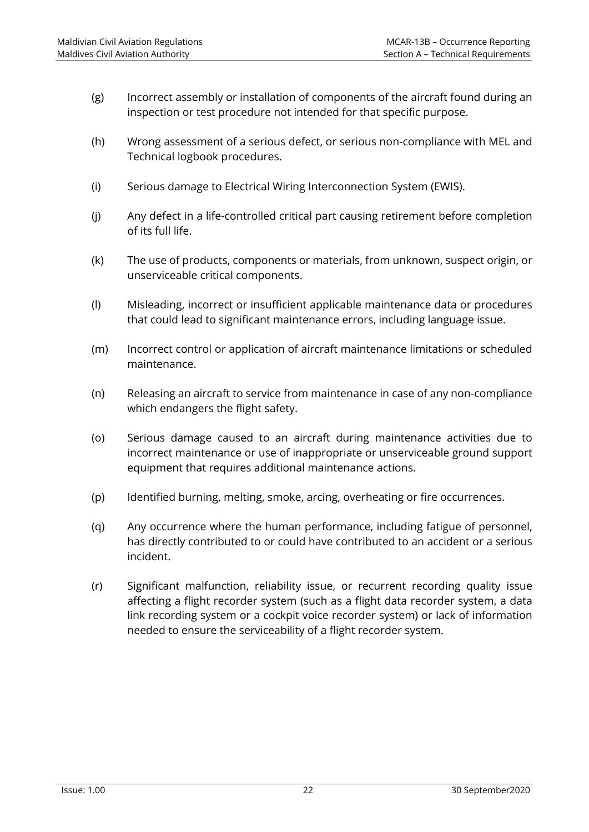- (g) Incorrect assembly or installation of components of the aircraft found during an inspection or test procedure not intended for that specific purpose.
- (h) Wrong assessment of a serious defect, or serious non-compliance with MEL and Technical logbook procedures.
- (i) Serious damage to Electrical Wiring Interconnection System (EWIS).
- (j) Any defect in a life-controlled critical part causing retirement before completion of its full life.
- (k) The use of products, components or materials, from unknown, suspect origin, or unserviceable critical components.
- (l) Misleading, incorrect or insufficient applicable maintenance data or procedures that could lead to significant maintenance errors, including language issue.
- (m) Incorrect control or application of aircraft maintenance limitations or scheduled maintenance.
- (n) Releasing an aircraft to service from maintenance in case of any non-compliance which endangers the flight safety.
- (o) Serious damage caused to an aircraft during maintenance activities due to incorrect maintenance or use of inappropriate or unserviceable ground support equipment that requires additional maintenance actions.
- (p) Identified burning, melting, smoke, arcing, overheating or fire occurrences.
- (q) Any occurrence where the human performance, including fatigue of personnel, has directly contributed to or could have contributed to an accident or a serious incident.
- (r) Significant malfunction, reliability issue, or recurrent recording quality issue affecting a flight recorder system (such as a flight data recorder system, a data link recording system or a cockpit voice recorder system) or lack of information needed to ensure the serviceability of a flight recorder system.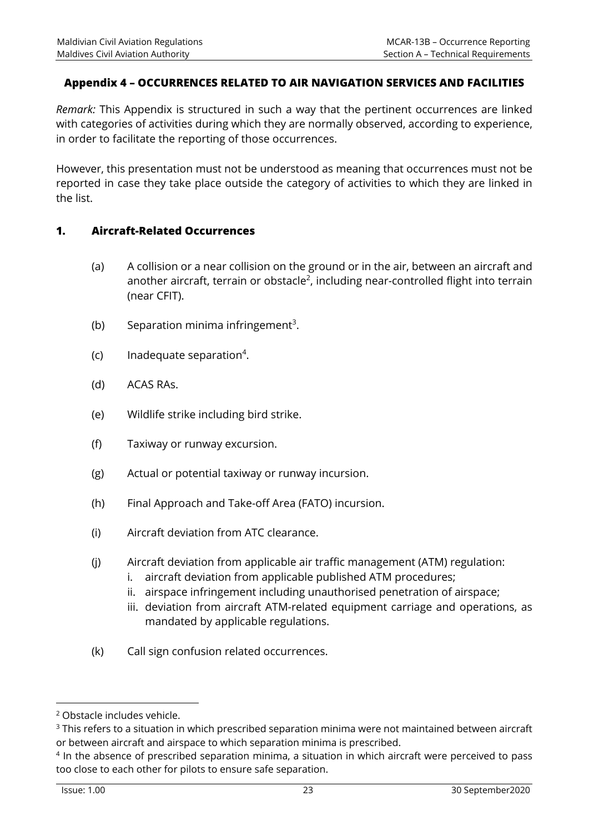## **Appendix 4 – OCCURRENCES RELATED TO AIR NAVIGATION SERVICES AND FACILITIES**

*Remark:* This Appendix is structured in such a way that the pertinent occurrences are linked with categories of activities during which they are normally observed, according to experience, in order to facilitate the reporting of those occurrences.

However, this presentation must not be understood as meaning that occurrences must not be reported in case they take place outside the category of activities to which they are linked in the list.

## **1. Aircraft-Related Occurrences**

- (a) A collision or a near collision on the ground or in the air, between an aircraft and another aircraft, terrain or obstacle<sup>2</sup>, including near-controlled flight into terrain (near CFIT).
- (b) Separation minima infringement<sup>3</sup>.
- $(c)$  Inadequate separation<sup>4</sup>.
- (d) ACAS RAs.
- (e) Wildlife strike including bird strike.
- (f) Taxiway or runway excursion.
- (g) Actual or potential taxiway or runway incursion.
- (h) Final Approach and Take-off Area (FATO) incursion.
- (i) Aircraft deviation from ATC clearance.
- (j) Aircraft deviation from applicable air traffic management (ATM) regulation:
	- i. aircraft deviation from applicable published ATM procedures;
	- ii. airspace infringement including unauthorised penetration of airspace;
	- iii. deviation from aircraft ATM-related equipment carriage and operations, as mandated by applicable regulations.
- (k) Call sign confusion related occurrences.

l

<sup>2</sup> Obstacle includes vehicle.

<sup>&</sup>lt;sup>3</sup> This refers to a situation in which prescribed separation minima were not maintained between aircraft or between aircraft and airspace to which separation minima is prescribed.

<sup>&</sup>lt;sup>4</sup> In the absence of prescribed separation minima, a situation in which aircraft were perceived to pass too close to each other for pilots to ensure safe separation.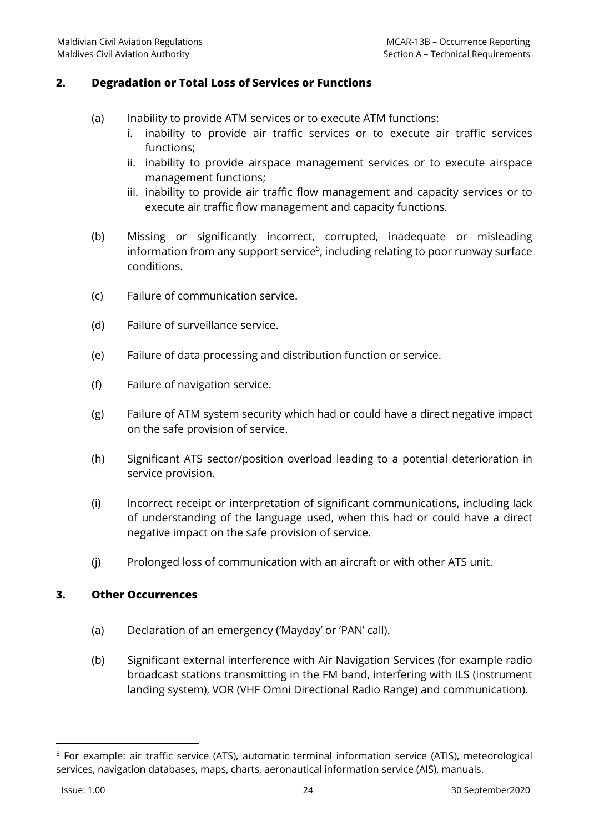## **2. Degradation or Total Loss of Services or Functions**

- (a) Inability to provide ATM services or to execute ATM functions:
	- i. inability to provide air traffic services or to execute air traffic services functions;
	- ii. inability to provide airspace management services or to execute airspace management functions;
	- iii. inability to provide air traffic flow management and capacity services or to execute air traffic flow management and capacity functions.
- (b) Missing or significantly incorrect, corrupted, inadequate or misleading information from any support service<sup>5</sup>, including relating to poor runway surface conditions.
- (c) Failure of communication service.
- (d) Failure of surveillance service.
- (e) Failure of data processing and distribution function or service.
- (f) Failure of navigation service.
- (g) Failure of ATM system security which had or could have a direct negative impact on the safe provision of service.
- (h) Significant ATS sector/position overload leading to a potential deterioration in service provision.
- (i) Incorrect receipt or interpretation of significant communications, including lack of understanding of the language used, when this had or could have a direct negative impact on the safe provision of service.
- (j) Prolonged loss of communication with an aircraft or with other ATS unit.

## **3. Other Occurrences**

- (a) Declaration of an emergency ('Mayday' or 'PAN' call).
- (b) Significant external interference with Air Navigation Services (for example radio broadcast stations transmitting in the FM band, interfering with ILS (instrument landing system), VOR (VHF Omni Directional Radio Range) and communication).

l

<sup>5</sup> For example: air traffic service (ATS), automatic terminal information service (ATIS), meteorological services, navigation databases, maps, charts, aeronautical information service (AIS), manuals.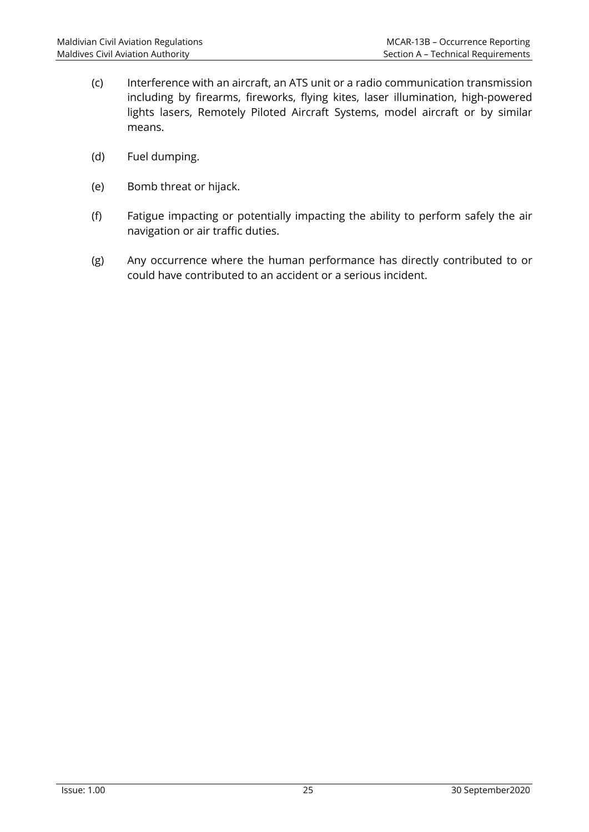- (c) Interference with an aircraft, an ATS unit or a radio communication transmission including by firearms, fireworks, flying kites, laser illumination, high-powered lights lasers, Remotely Piloted Aircraft Systems, model aircraft or by similar means.
- (d) Fuel dumping.
- (e) Bomb threat or hijack.
- (f) Fatigue impacting or potentially impacting the ability to perform safely the air navigation or air traffic duties.
- (g) Any occurrence where the human performance has directly contributed to or could have contributed to an accident or a serious incident.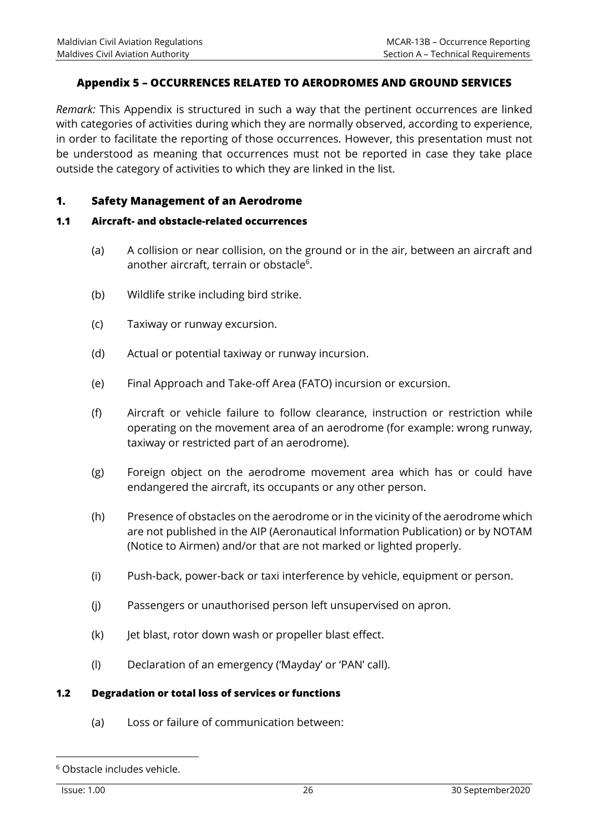## **Appendix 5 – OCCURRENCES RELATED TO AERODROMES AND GROUND SERVICES**

*Remark:* This Appendix is structured in such a way that the pertinent occurrences are linked with categories of activities during which they are normally observed, according to experience, in order to facilitate the reporting of those occurrences. However, this presentation must not be understood as meaning that occurrences must not be reported in case they take place outside the category of activities to which they are linked in the list.

## **1. Safety Management of an Aerodrome**

#### **1.1 Aircraft- and obstacle-related occurrences**

- (a) A collision or near collision, on the ground or in the air, between an aircraft and another aircraft, terrain or obstacle<sup>6</sup>.
- (b) Wildlife strike including bird strike.
- (c) Taxiway or runway excursion.
- (d) Actual or potential taxiway or runway incursion.
- (e) Final Approach and Take-off Area (FATO) incursion or excursion.
- (f) Aircraft or vehicle failure to follow clearance, instruction or restriction while operating on the movement area of an aerodrome (for example: wrong runway, taxiway or restricted part of an aerodrome).
- (g) Foreign object on the aerodrome movement area which has or could have endangered the aircraft, its occupants or any other person.
- (h) Presence of obstacles on the aerodrome or in the vicinity of the aerodrome which are not published in the AIP (Aeronautical Information Publication) or by NOTAM (Notice to Airmen) and/or that are not marked or lighted properly.
- (i) Push-back, power-back or taxi interference by vehicle, equipment or person.
- (j) Passengers or unauthorised person left unsupervised on apron.
- (k) Jet blast, rotor down wash or propeller blast effect.
- (l) Declaration of an emergency ('Mayday' or 'PAN' call).

## **1.2 Degradation or total loss of services or functions**

(a) Loss or failure of communication between:

<sup>6</sup> Obstacle includes vehicle.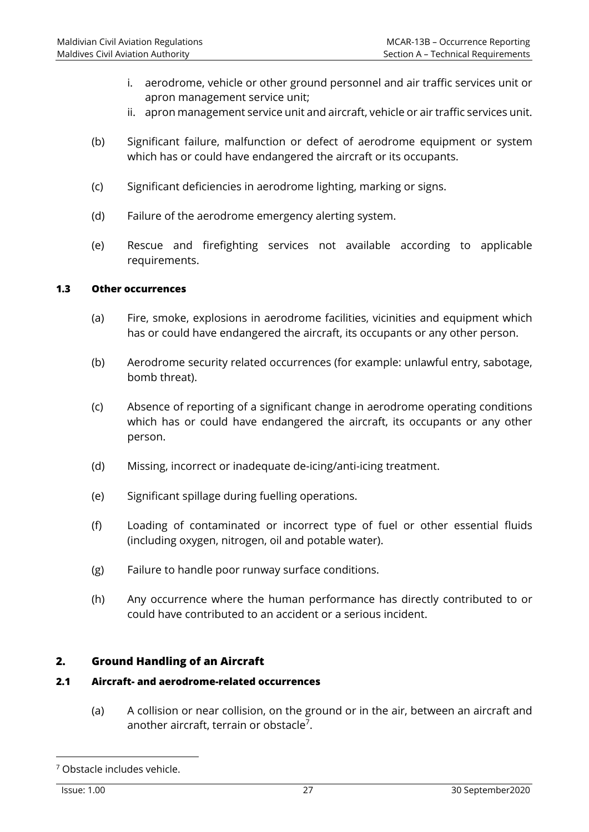- i. aerodrome, vehicle or other ground personnel and air traffic services unit or apron management service unit;
- ii. apron management service unit and aircraft, vehicle or air traffic services unit.
- (b) Significant failure, malfunction or defect of aerodrome equipment or system which has or could have endangered the aircraft or its occupants.
- (c) Significant deficiencies in aerodrome lighting, marking or signs.
- (d) Failure of the aerodrome emergency alerting system.
- (e) Rescue and firefighting services not available according to applicable requirements.

#### **1.3 Other occurrences**

- (a) Fire, smoke, explosions in aerodrome facilities, vicinities and equipment which has or could have endangered the aircraft, its occupants or any other person.
- (b) Aerodrome security related occurrences (for example: unlawful entry, sabotage, bomb threat).
- (c) Absence of reporting of a significant change in aerodrome operating conditions which has or could have endangered the aircraft, its occupants or any other person.
- (d) Missing, incorrect or inadequate de-icing/anti-icing treatment.
- (e) Significant spillage during fuelling operations.
- (f) Loading of contaminated or incorrect type of fuel or other essential fluids (including oxygen, nitrogen, oil and potable water).
- (g) Failure to handle poor runway surface conditions.
- (h) Any occurrence where the human performance has directly contributed to or could have contributed to an accident or a serious incident.

## **2. Ground Handling of an Aircraft**

#### **2.1 Aircraft- and aerodrome-related occurrences**

(a) A collision or near collision, on the ground or in the air, between an aircraft and another aircraft, terrain or obstacle<sup>7</sup>.

<sup>7</sup> Obstacle includes vehicle.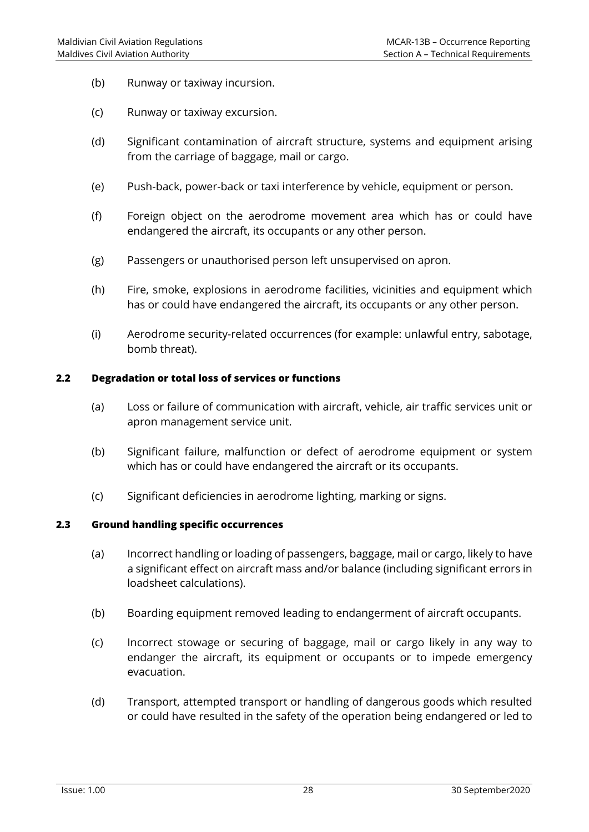- (b) Runway or taxiway incursion.
- (c) Runway or taxiway excursion.
- (d) Significant contamination of aircraft structure, systems and equipment arising from the carriage of baggage, mail or cargo.
- (e) Push-back, power-back or taxi interference by vehicle, equipment or person.
- (f) Foreign object on the aerodrome movement area which has or could have endangered the aircraft, its occupants or any other person.
- (g) Passengers or unauthorised person left unsupervised on apron.
- (h) Fire, smoke, explosions in aerodrome facilities, vicinities and equipment which has or could have endangered the aircraft, its occupants or any other person.
- (i) Aerodrome security-related occurrences (for example: unlawful entry, sabotage, bomb threat).

#### **2.2 Degradation or total loss of services or functions**

- (a) Loss or failure of communication with aircraft, vehicle, air traffic services unit or apron management service unit.
- (b) Significant failure, malfunction or defect of aerodrome equipment or system which has or could have endangered the aircraft or its occupants.
- (c) Significant deficiencies in aerodrome lighting, marking or signs.

#### **2.3 Ground handling specific occurrences**

- (a) Incorrect handling or loading of passengers, baggage, mail or cargo, likely to have a significant effect on aircraft mass and/or balance (including significant errors in loadsheet calculations).
- (b) Boarding equipment removed leading to endangerment of aircraft occupants.
- (c) Incorrect stowage or securing of baggage, mail or cargo likely in any way to endanger the aircraft, its equipment or occupants or to impede emergency evacuation.
- (d) Transport, attempted transport or handling of dangerous goods which resulted or could have resulted in the safety of the operation being endangered or led to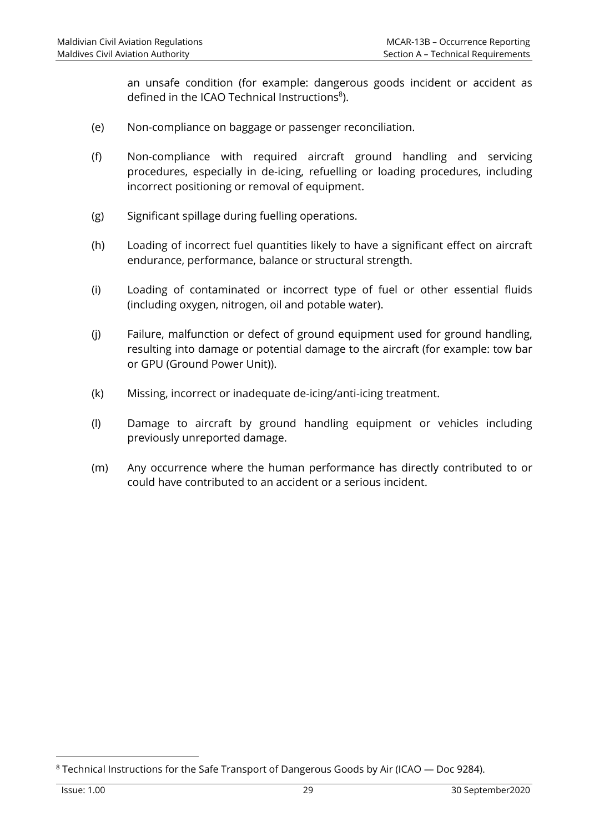an unsafe condition (for example: dangerous goods incident or accident as defined in the ICAO Technical Instructions<sup>8</sup>).

- (e) Non-compliance on baggage or passenger reconciliation.
- (f) Non-compliance with required aircraft ground handling and servicing procedures, especially in de-icing, refuelling or loading procedures, including incorrect positioning or removal of equipment.
- (g) Significant spillage during fuelling operations.
- (h) Loading of incorrect fuel quantities likely to have a significant effect on aircraft endurance, performance, balance or structural strength.
- (i) Loading of contaminated or incorrect type of fuel or other essential fluids (including oxygen, nitrogen, oil and potable water).
- (j) Failure, malfunction or defect of ground equipment used for ground handling, resulting into damage or potential damage to the aircraft (for example: tow bar or GPU (Ground Power Unit)).
- (k) Missing, incorrect or inadequate de-icing/anti-icing treatment.
- (l) Damage to aircraft by ground handling equipment or vehicles including previously unreported damage.
- (m) Any occurrence where the human performance has directly contributed to or could have contributed to an accident or a serious incident.

 $8$  Technical Instructions for the Safe Transport of Dangerous Goods by Air (ICAO  $-$  Doc 9284).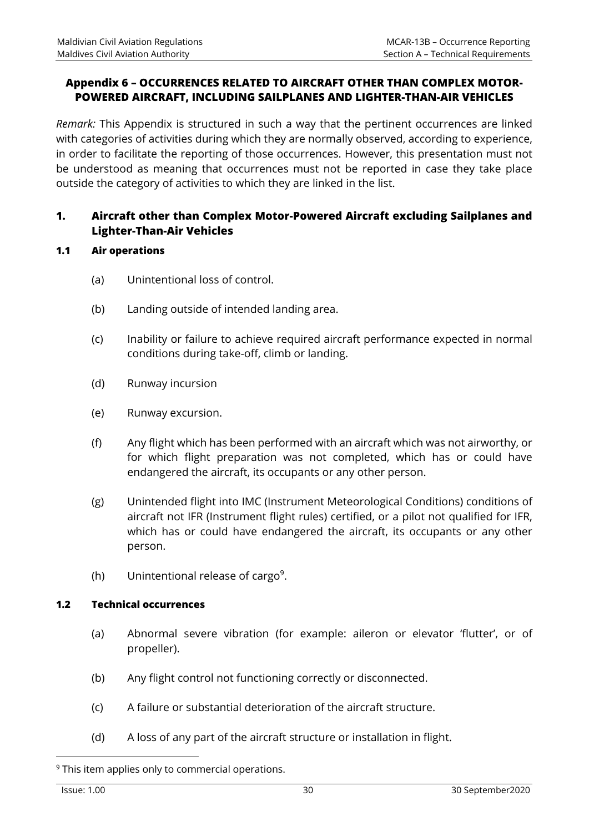## **Appendix 6 – OCCURRENCES RELATED TO AIRCRAFT OTHER THAN COMPLEX MOTOR-POWERED AIRCRAFT, INCLUDING SAILPLANES AND LIGHTER-THAN-AIR VEHICLES**

*Remark:* This Appendix is structured in such a way that the pertinent occurrences are linked with categories of activities during which they are normally observed, according to experience, in order to facilitate the reporting of those occurrences. However, this presentation must not be understood as meaning that occurrences must not be reported in case they take place outside the category of activities to which they are linked in the list.

## **1. Aircraft other than Complex Motor-Powered Aircraft excluding Sailplanes and Lighter-Than-Air Vehicles**

- **1.1 Air operations** 
	- (a) Unintentional loss of control.
	- (b) Landing outside of intended landing area.
	- (c) Inability or failure to achieve required aircraft performance expected in normal conditions during take-off, climb or landing.
	- (d) Runway incursion
	- (e) Runway excursion.
	- (f) Any flight which has been performed with an aircraft which was not airworthy, or for which flight preparation was not completed, which has or could have endangered the aircraft, its occupants or any other person.
	- (g) Unintended flight into IMC (Instrument Meteorological Conditions) conditions of aircraft not IFR (Instrument flight rules) certified, or a pilot not qualified for IFR, which has or could have endangered the aircraft, its occupants or any other person.
	- (h) Unintentional release of cargo<sup>9</sup>.

## **1.2 Technical occurrences**

- (a) Abnormal severe vibration (for example: aileron or elevator 'flutter', or of propeller).
- (b) Any flight control not functioning correctly or disconnected.
- (c) A failure or substantial deterioration of the aircraft structure.
- (d) A loss of any part of the aircraft structure or installation in flight.

 $9$  This item applies only to commercial operations.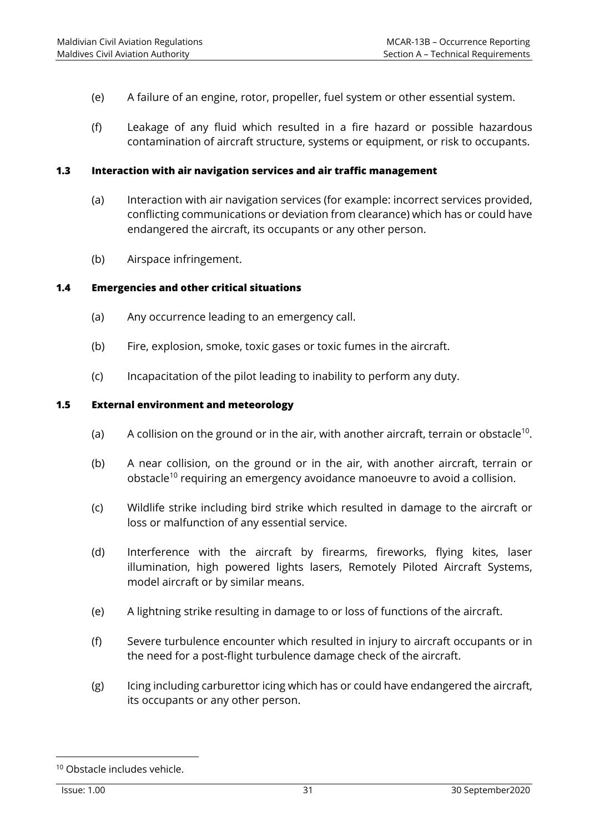- (e) A failure of an engine, rotor, propeller, fuel system or other essential system.
- (f) Leakage of any fluid which resulted in a fire hazard or possible hazardous contamination of aircraft structure, systems or equipment, or risk to occupants.

#### **1.3 Interaction with air navigation services and air traffic management**

- (a) Interaction with air navigation services (for example: incorrect services provided, conflicting communications or deviation from clearance) which has or could have endangered the aircraft, its occupants or any other person.
- (b) Airspace infringement.

#### **1.4 Emergencies and other critical situations**

- (a) Any occurrence leading to an emergency call.
- (b) Fire, explosion, smoke, toxic gases or toxic fumes in the aircraft.
- (c) Incapacitation of the pilot leading to inability to perform any duty.

#### **1.5 External environment and meteorology**

- (a) A collision on the ground or in the air, with another aircraft, terrain or obstacle<sup>10</sup>.
- (b) A near collision, on the ground or in the air, with another aircraft, terrain or obstacle<sup>10</sup> requiring an emergency avoidance manoeuvre to avoid a collision.
- (c) Wildlife strike including bird strike which resulted in damage to the aircraft or loss or malfunction of any essential service.
- (d) Interference with the aircraft by firearms, fireworks, flying kites, laser illumination, high powered lights lasers, Remotely Piloted Aircraft Systems, model aircraft or by similar means.
- (e) A lightning strike resulting in damage to or loss of functions of the aircraft.
- (f) Severe turbulence encounter which resulted in injury to aircraft occupants or in the need for a post-flight turbulence damage check of the aircraft.
- (g) Icing including carburettor icing which has or could have endangered the aircraft, its occupants or any other person.

<sup>10</sup> Obstacle includes vehicle.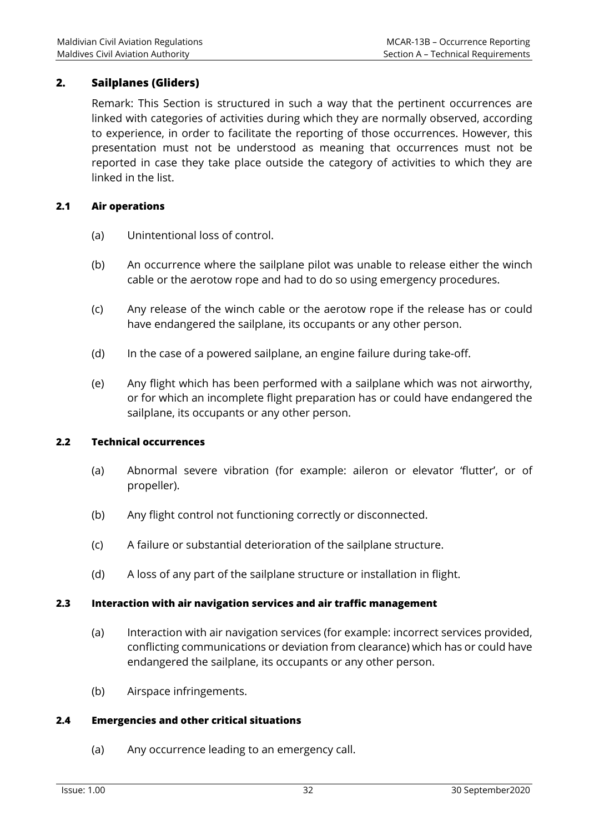## **2. Sailplanes (Gliders)**

Remark: This Section is structured in such a way that the pertinent occurrences are linked with categories of activities during which they are normally observed, according to experience, in order to facilitate the reporting of those occurrences. However, this presentation must not be understood as meaning that occurrences must not be reported in case they take place outside the category of activities to which they are linked in the list.

## **2.1 Air operations**

- (a) Unintentional loss of control.
- (b) An occurrence where the sailplane pilot was unable to release either the winch cable or the aerotow rope and had to do so using emergency procedures.
- (c) Any release of the winch cable or the aerotow rope if the release has or could have endangered the sailplane, its occupants or any other person.
- (d) In the case of a powered sailplane, an engine failure during take-off.
- (e) Any flight which has been performed with a sailplane which was not airworthy, or for which an incomplete flight preparation has or could have endangered the sailplane, its occupants or any other person.

## **2.2 Technical occurrences**

- (a) Abnormal severe vibration (for example: aileron or elevator 'flutter', or of propeller).
- (b) Any flight control not functioning correctly or disconnected.
- (c) A failure or substantial deterioration of the sailplane structure.
- (d) A loss of any part of the sailplane structure or installation in flight.

## **2.3 Interaction with air navigation services and air traffic management**

- (a) Interaction with air navigation services (for example: incorrect services provided, conflicting communications or deviation from clearance) which has or could have endangered the sailplane, its occupants or any other person.
- (b) Airspace infringements.

## **2.4 Emergencies and other critical situations**

(a) Any occurrence leading to an emergency call.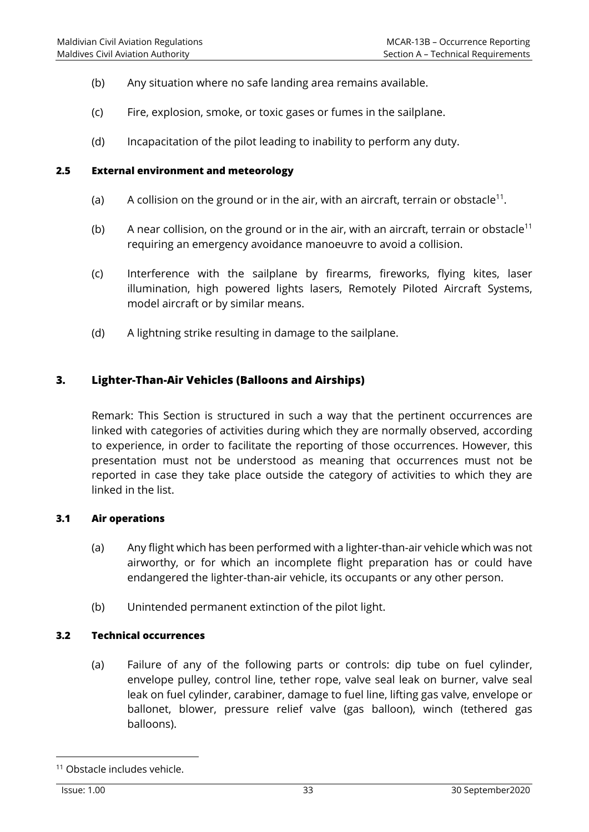- (b) Any situation where no safe landing area remains available.
- (c) Fire, explosion, smoke, or toxic gases or fumes in the sailplane.
- (d) Incapacitation of the pilot leading to inability to perform any duty.

#### **2.5 External environment and meteorology**

- (a) A collision on the ground or in the air, with an aircraft, terrain or obstacle<sup>11</sup>.
- (b) A near collision, on the ground or in the air, with an aircraft, terrain or obstacle<sup>11</sup> requiring an emergency avoidance manoeuvre to avoid a collision.
- (c) Interference with the sailplane by firearms, fireworks, flying kites, laser illumination, high powered lights lasers, Remotely Piloted Aircraft Systems, model aircraft or by similar means.
- (d) A lightning strike resulting in damage to the sailplane.

## **3. Lighter-Than-Air Vehicles (Balloons and Airships)**

Remark: This Section is structured in such a way that the pertinent occurrences are linked with categories of activities during which they are normally observed, according to experience, in order to facilitate the reporting of those occurrences. However, this presentation must not be understood as meaning that occurrences must not be reported in case they take place outside the category of activities to which they are linked in the list.

## **3.1 Air operations**

- (a) Any flight which has been performed with a lighter-than-air vehicle which was not airworthy, or for which an incomplete flight preparation has or could have endangered the lighter-than-air vehicle, its occupants or any other person.
- (b) Unintended permanent extinction of the pilot light.

## **3.2 Technical occurrences**

(a) Failure of any of the following parts or controls: dip tube on fuel cylinder, envelope pulley, control line, tether rope, valve seal leak on burner, valve seal leak on fuel cylinder, carabiner, damage to fuel line, lifting gas valve, envelope or ballonet, blower, pressure relief valve (gas balloon), winch (tethered gas balloons).

<sup>11</sup> Obstacle includes vehicle.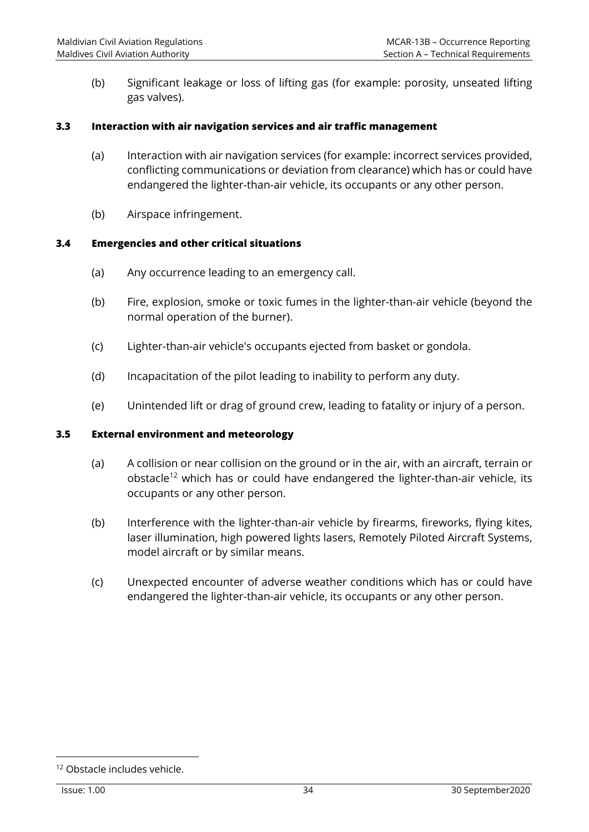(b) Significant leakage or loss of lifting gas (for example: porosity, unseated lifting gas valves).

#### **3.3 Interaction with air navigation services and air traffic management**

- (a) Interaction with air navigation services (for example: incorrect services provided, conflicting communications or deviation from clearance) which has or could have endangered the lighter-than-air vehicle, its occupants or any other person.
- (b) Airspace infringement.

## **3.4 Emergencies and other critical situations**

- (a) Any occurrence leading to an emergency call.
- (b) Fire, explosion, smoke or toxic fumes in the lighter-than-air vehicle (beyond the normal operation of the burner).
- (c) Lighter-than-air vehicle's occupants ejected from basket or gondola.
- (d) Incapacitation of the pilot leading to inability to perform any duty.
- (e) Unintended lift or drag of ground crew, leading to fatality or injury of a person.

#### **3.5 External environment and meteorology**

- (a) A collision or near collision on the ground or in the air, with an aircraft, terrain or obstacle<sup>12</sup> which has or could have endangered the lighter-than-air vehicle, its occupants or any other person.
- (b) Interference with the lighter-than-air vehicle by firearms, fireworks, flying kites, laser illumination, high powered lights lasers, Remotely Piloted Aircraft Systems, model aircraft or by similar means.
- (c) Unexpected encounter of adverse weather conditions which has or could have endangered the lighter-than-air vehicle, its occupants or any other person.

<sup>12</sup> Obstacle includes vehicle.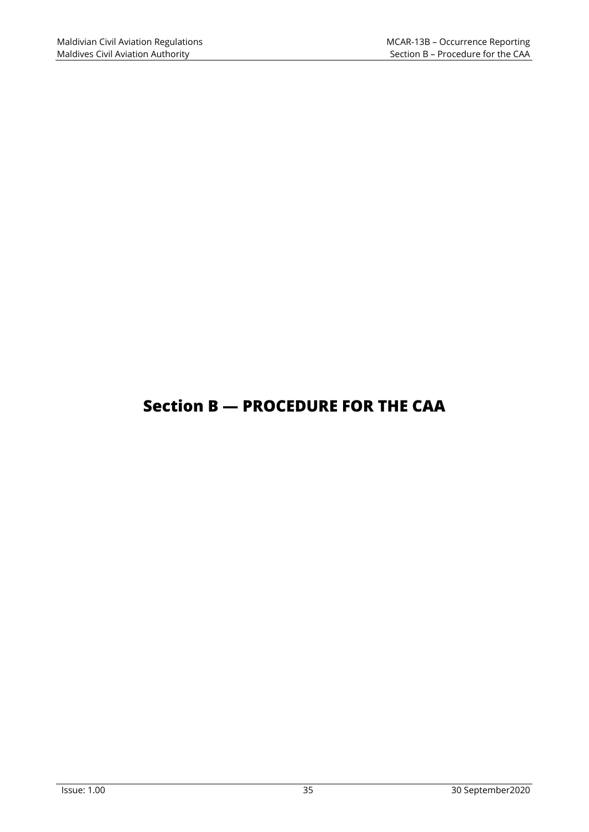## **Section B — PROCEDURE FOR THE CAA**